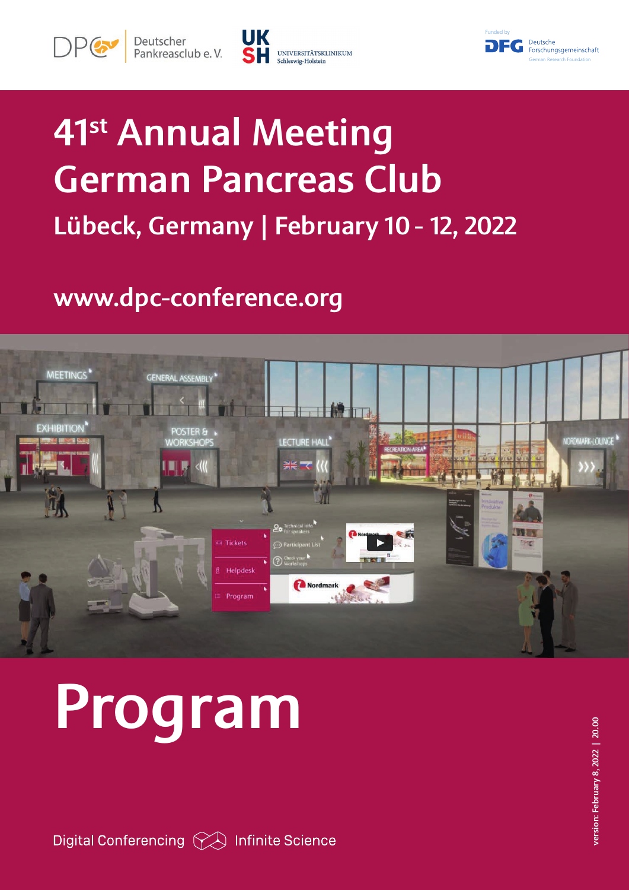





## 41st Annual Meeting German Pancreas Club Lübeck, Germany | February 10 - 12, 2022

### www.dpc-conference.org



# Program

Digital Conferencing  $\curvearrowright$  Infinite Science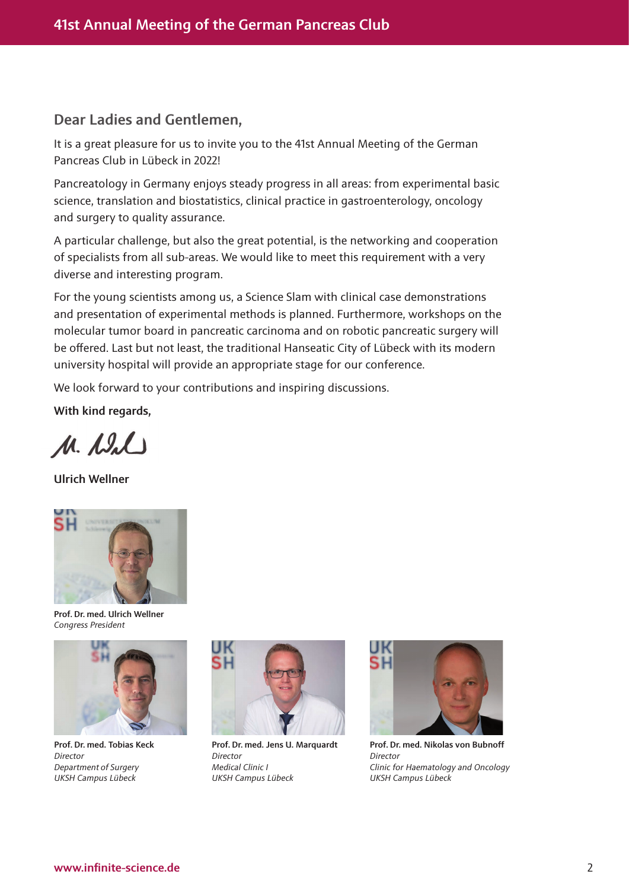#### Dear Ladies and Gentlemen,

It is a great pleasure for us to invite you to the 41st Annual Meeting of the German Pancreas Club in Lübeck in 2022!

Pancreatology in Germany enjoys steady progress in all areas: from experimental basic science, translation and biostatistics, clinical practice in gastroenterology, oncology and surgery to quality assurance.

A particular challenge, but also the great potential, is the networking and cooperation of specialists from all sub-areas. We would like to meet this requirement with a very diverse and interesting program.

For the young scientists among us, a Science Slam with clinical case demonstrations and presentation of experimental methods is planned. Furthermore, workshops on the molecular tumor board in pancreatic carcinoma and on robotic pancreatic surgery will be offered. Last but not least, the traditional Hanseatic City of Lübeck with its modern university hospital will provide an appropriate stage for our conference.

We look forward to your contributions and inspiring discussions.

With kind regards,

M. Dal

Ulrich Wellner



Prof. Dr. med. Ulrich Wellner *Congress President*



Prof. Dr. med. Tobias Keck *Director Department of Surgery UKSH Campus Lübeck*



Prof. Dr. med. Jens U. Marquardt *Director Medical Clinic I UKSH Campus Lübeck*



Prof. Dr. med. Nikolas von Bubnoff *Director Clinic for Haematology and Oncology UKSH Campus Lübeck*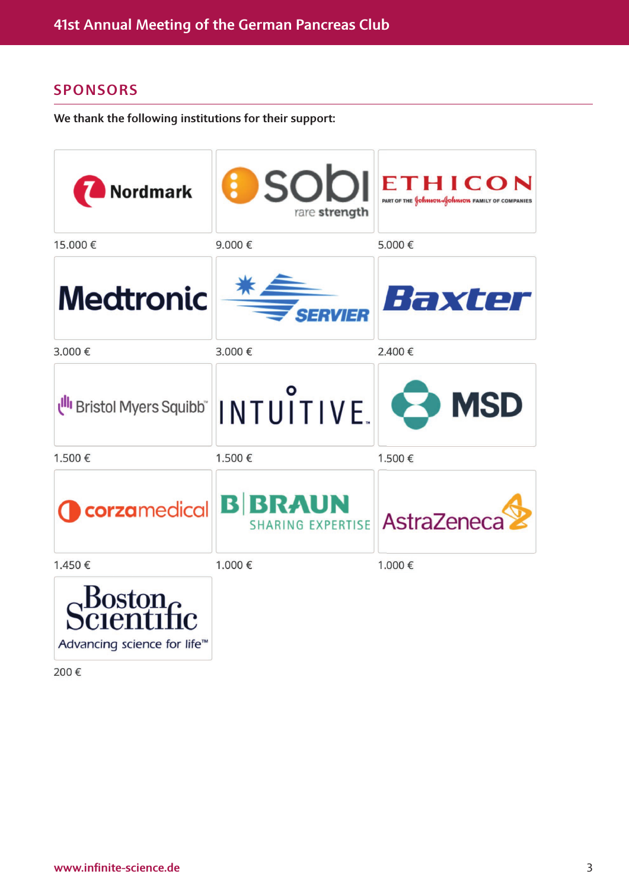#### SPONSORS

We thank the following institutions for their support:

| Nordmark                                | <b>O</b> SODI<br>rare strength             | ETHICON<br>PART OF THE <b>SOLUTO AND ACTION</b> FAMILY OF COMPANIES |
|-----------------------------------------|--------------------------------------------|---------------------------------------------------------------------|
| 15.000€                                 | 9.000€                                     | 5.000€                                                              |
| <b>Medtronic</b>                        | ERVIER                                     | Haxter                                                              |
| 3.000€                                  | 3.000€                                     | 2.400€                                                              |
| Ull Bristol Myers Squibb"               | INTUITIVE.                                 | <b>B</b> MSD                                                        |
| 1.500€                                  | 1.500€                                     | 1.500€                                                              |
| corzamedical                            | <b>B BRAUN</b><br><b>SHARING EXPERTISE</b> | AstraZeneca                                                         |
| 1.450€                                  | 1.000€                                     | 1.000€                                                              |
| Advancing science for life <sup>™</sup> |                                            |                                                                     |

200€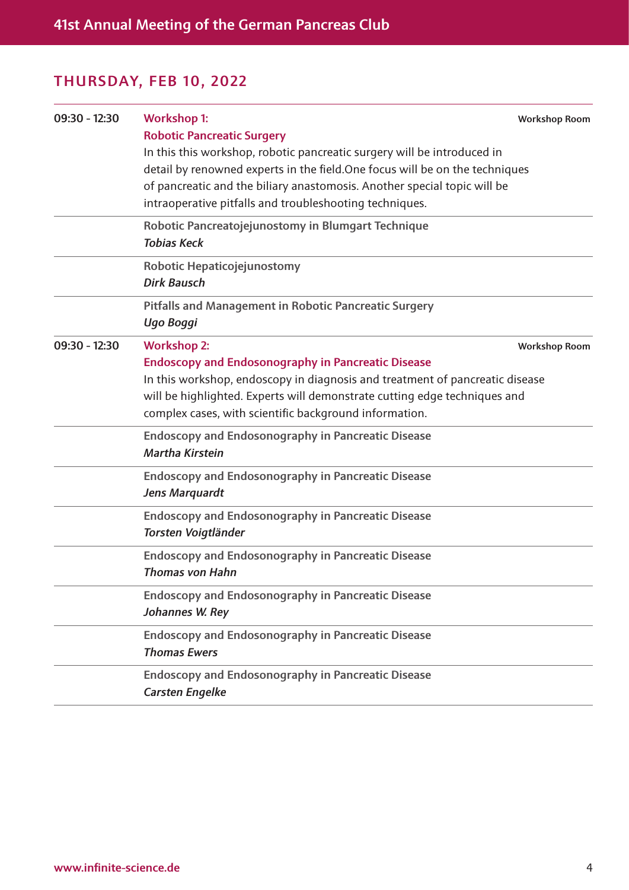| $09:30 - 12:30$ | <b>Workshop 1:</b><br><b>Robotic Pancreatic Surgery</b>                      | <b>Workshop Room</b> |
|-----------------|------------------------------------------------------------------------------|----------------------|
|                 | In this this workshop, robotic pancreatic surgery will be introduced in      |                      |
|                 | detail by renowned experts in the field. One focus will be on the techniques |                      |
|                 | of pancreatic and the biliary anastomosis. Another special topic will be     |                      |
|                 | intraoperative pitfalls and troubleshooting techniques.                      |                      |
|                 | Robotic Pancreatojejunostomy in Blumgart Technique                           |                      |
|                 | <b>Tobias Keck</b>                                                           |                      |
|                 | Robotic Hepaticojejunostomy                                                  |                      |
|                 | <b>Dirk Bausch</b>                                                           |                      |
|                 | <b>Pitfalls and Management in Robotic Pancreatic Surgery</b>                 |                      |
|                 | Ugo Boggi                                                                    |                      |
| $09:30 - 12:30$ | <b>Workshop 2:</b>                                                           | <b>Workshop Room</b> |
|                 | <b>Endoscopy and Endosonography in Pancreatic Disease</b>                    |                      |
|                 | In this workshop, endoscopy in diagnosis and treatment of pancreatic disease |                      |
|                 | will be highlighted. Experts will demonstrate cutting edge techniques and    |                      |
|                 | complex cases, with scientific background information.                       |                      |
|                 | <b>Endoscopy and Endosonography in Pancreatic Disease</b>                    |                      |
|                 | <b>Martha Kirstein</b>                                                       |                      |
|                 | <b>Endoscopy and Endosonography in Pancreatic Disease</b>                    |                      |
|                 | Jens Marquardt                                                               |                      |
|                 | <b>Endoscopy and Endosonography in Pancreatic Disease</b>                    |                      |
|                 | Torsten Voigtländer                                                          |                      |
|                 | <b>Endoscopy and Endosonography in Pancreatic Disease</b>                    |                      |
|                 | <b>Thomas von Hahn</b>                                                       |                      |
|                 | <b>Endoscopy and Endosonography in Pancreatic Disease</b>                    |                      |
|                 | Johannes W. Rey                                                              |                      |
|                 | <b>Endoscopy and Endosonography in Pancreatic Disease</b>                    |                      |
|                 | <b>Thomas Ewers</b>                                                          |                      |
|                 | <b>Endoscopy and Endosonography in Pancreatic Disease</b>                    |                      |
|                 | <b>Carsten Engelke</b>                                                       |                      |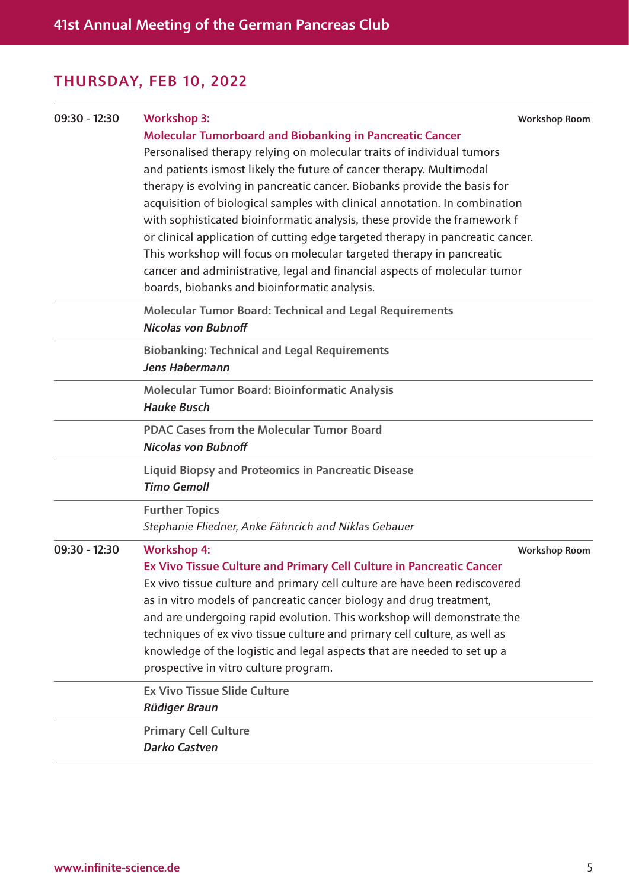| $09:30 - 12:30$ | <b>Workshop 3:</b>                                                             | <b>Workshop Room</b> |
|-----------------|--------------------------------------------------------------------------------|----------------------|
|                 | <b>Molecular Tumorboard and Biobanking in Pancreatic Cancer</b>                |                      |
|                 | Personalised therapy relying on molecular traits of individual tumors          |                      |
|                 | and patients ismost likely the future of cancer therapy. Multimodal            |                      |
|                 | therapy is evolving in pancreatic cancer. Biobanks provide the basis for       |                      |
|                 | acquisition of biological samples with clinical annotation. In combination     |                      |
|                 | with sophisticated bioinformatic analysis, these provide the framework f       |                      |
|                 | or clinical application of cutting edge targeted therapy in pancreatic cancer. |                      |
|                 | This workshop will focus on molecular targeted therapy in pancreatic           |                      |
|                 | cancer and administrative, legal and financial aspects of molecular tumor      |                      |
|                 | boards, biobanks and bioinformatic analysis.                                   |                      |
|                 | <b>Molecular Tumor Board: Technical and Legal Requirements</b>                 |                      |
|                 | <b>Nicolas von Bubnoff</b>                                                     |                      |
|                 | <b>Biobanking: Technical and Legal Requirements</b>                            |                      |
|                 | Jens Habermann                                                                 |                      |
|                 | Molecular Tumor Board: Bioinformatic Analysis                                  |                      |
|                 | <b>Hauke Busch</b>                                                             |                      |
|                 | <b>PDAC Cases from the Molecular Tumor Board</b>                               |                      |
|                 | <b>Nicolas von Bubnoff</b>                                                     |                      |
|                 | <b>Liquid Biopsy and Proteomics in Pancreatic Disease</b>                      |                      |
|                 | <b>Timo Gemoll</b>                                                             |                      |
|                 | <b>Further Topics</b>                                                          |                      |
|                 | Stephanie Fliedner, Anke Fähnrich and Niklas Gebauer                           |                      |
| $09:30 - 12:30$ | <b>Workshop 4:</b>                                                             | <b>Workshop Room</b> |
|                 | Ex Vivo Tissue Culture and Primary Cell Culture in Pancreatic Cancer           |                      |
|                 | Ex vivo tissue culture and primary cell culture are have been rediscovered     |                      |
|                 | as in vitro models of pancreatic cancer biology and drug treatment,            |                      |
|                 | and are undergoing rapid evolution. This workshop will demonstrate the         |                      |
|                 | techniques of ex vivo tissue culture and primary cell culture, as well as      |                      |
|                 | knowledge of the logistic and legal aspects that are needed to set up a        |                      |
|                 | prospective in vitro culture program.                                          |                      |
|                 | <b>Ex Vivo Tissue Slide Culture</b>                                            |                      |
|                 | <b>Rüdiger Braun</b>                                                           |                      |
|                 | <b>Primary Cell Culture</b>                                                    |                      |
|                 | <b>Darko Castven</b>                                                           |                      |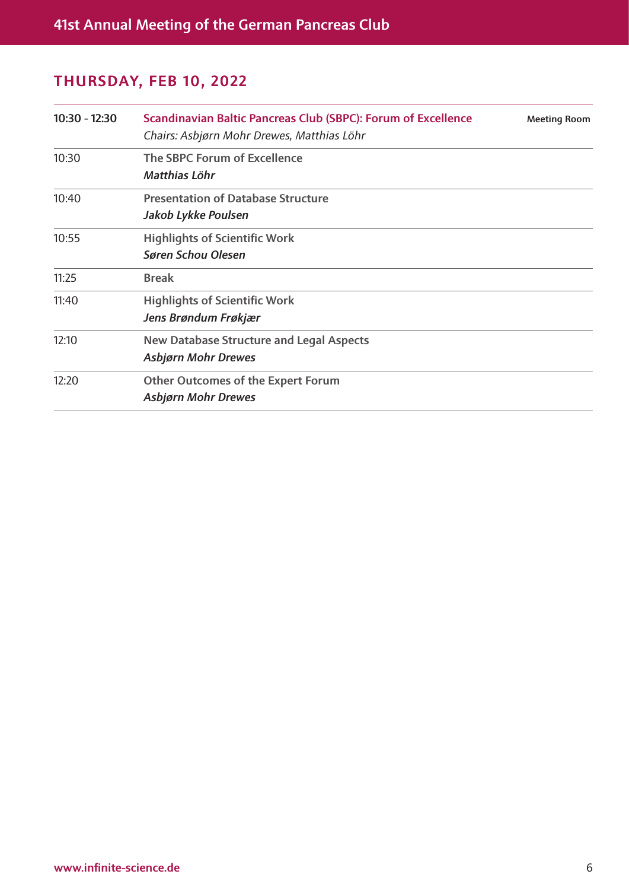| $10:30 - 12:30$ | Scandinavian Baltic Pancreas Club (SBPC): Forum of Excellence<br>Chairs: Asbjørn Mohr Drewes, Matthias Löhr | <b>Meeting Room</b> |
|-----------------|-------------------------------------------------------------------------------------------------------------|---------------------|
| 10:30           | The SBPC Forum of Excellence<br>Matthias Löhr                                                               |                     |
| 10:40           | <b>Presentation of Database Structure</b><br>Jakob Lykke Poulsen                                            |                     |
| 10:55           | <b>Highlights of Scientific Work</b><br><b>Søren Schou Olesen</b>                                           |                     |
| 11:25           | <b>Break</b>                                                                                                |                     |
| 11:40           | <b>Highlights of Scientific Work</b><br>Jens Brøndum Frøkjær                                                |                     |
| 12:10           | <b>New Database Structure and Legal Aspects</b><br><b>Asbjørn Mohr Drewes</b>                               |                     |
| 12:20           | <b>Other Outcomes of the Expert Forum</b><br><b>Asbjørn Mohr Drewes</b>                                     |                     |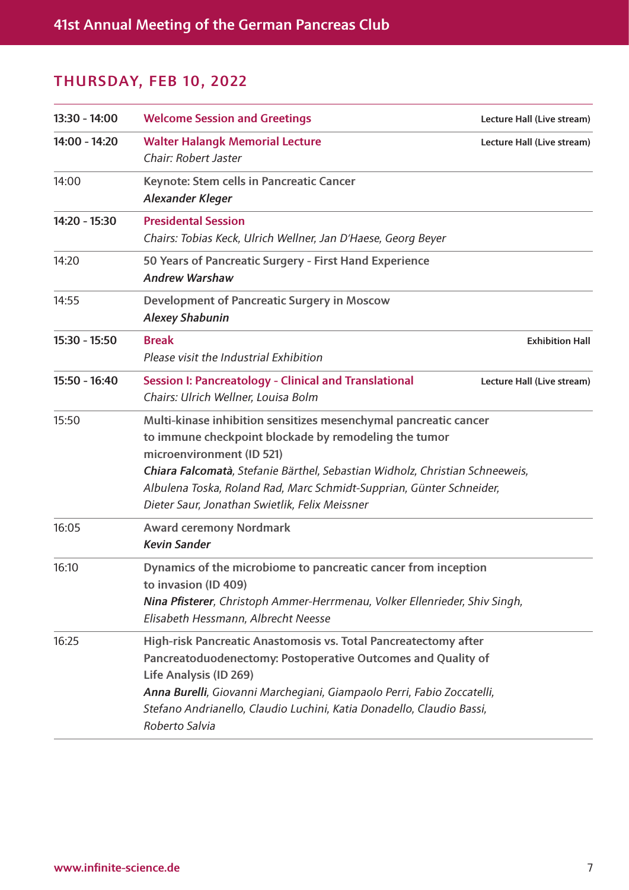| 13:30 - 14:00 | <b>Welcome Session and Greetings</b>                                                                                                                                                                                                                                                                                                                             | Lecture Hall (Live stream) |
|---------------|------------------------------------------------------------------------------------------------------------------------------------------------------------------------------------------------------------------------------------------------------------------------------------------------------------------------------------------------------------------|----------------------------|
| 14:00 - 14:20 | <b>Walter Halangk Memorial Lecture</b><br>Chair: Robert Jaster                                                                                                                                                                                                                                                                                                   | Lecture Hall (Live stream) |
| 14:00         | Keynote: Stem cells in Pancreatic Cancer<br><b>Alexander Kleger</b>                                                                                                                                                                                                                                                                                              |                            |
| 14:20 - 15:30 | <b>Presidental Session</b><br>Chairs: Tobias Keck, Ulrich Wellner, Jan D'Haese, Georg Beyer                                                                                                                                                                                                                                                                      |                            |
| 14:20         | 50 Years of Pancreatic Surgery - First Hand Experience<br><b>Andrew Warshaw</b>                                                                                                                                                                                                                                                                                  |                            |
| 14:55         | <b>Development of Pancreatic Surgery in Moscow</b><br><b>Alexey Shabunin</b>                                                                                                                                                                                                                                                                                     |                            |
| 15:30 - 15:50 | <b>Break</b><br>Please visit the Industrial Exhibition                                                                                                                                                                                                                                                                                                           | <b>Exhibition Hall</b>     |
| 15:50 - 16:40 | <b>Session I: Pancreatology - Clinical and Translational</b><br>Chairs: Ulrich Wellner, Louisa Bolm                                                                                                                                                                                                                                                              | Lecture Hall (Live stream) |
| 15:50         | Multi-kinase inhibition sensitizes mesenchymal pancreatic cancer<br>to immune checkpoint blockade by remodeling the tumor<br>microenvironment (ID 521)<br>Chiara Falcomatà, Stefanie Bärthel, Sebastian Widholz, Christian Schneeweis,<br>Albulena Toska, Roland Rad, Marc Schmidt-Supprian, Günter Schneider,<br>Dieter Saur, Jonathan Swietlik, Felix Meissner |                            |
| 16:05         | <b>Award ceremony Nordmark</b><br><b>Kevin Sander</b>                                                                                                                                                                                                                                                                                                            |                            |
| 16:10         | Dynamics of the microbiome to pancreatic cancer from inception<br>to invasion (ID 409)<br>Nina Pfisterer, Christoph Ammer-Herrmenau, Volker Ellenrieder, Shiv Singh,<br>Elisabeth Hessmann, Albrecht Neesse                                                                                                                                                      |                            |
| 16:25         | High-risk Pancreatic Anastomosis vs. Total Pancreatectomy after<br>Pancreatoduodenectomy: Postoperative Outcomes and Quality of<br>Life Analysis (ID 269)<br>Anna Burelli, Giovanni Marchegiani, Giampaolo Perri, Fabio Zoccatelli,<br>Stefano Andrianello, Claudio Luchini, Katia Donadello, Claudio Bassi,<br>Roberto Salvia                                   |                            |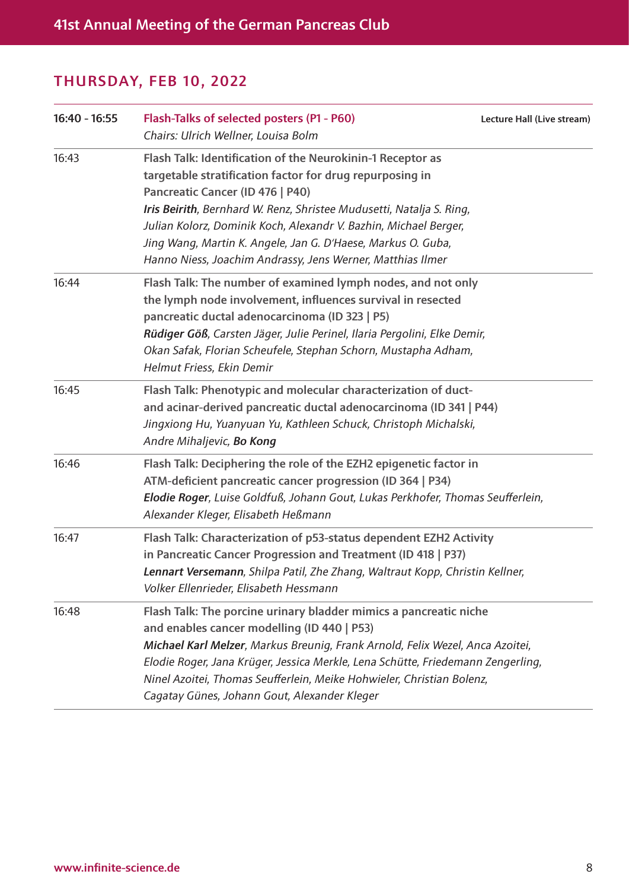| 16:40 - 16:55 | Flash-Talks of selected posters (P1 - P60)<br>Chairs: Ulrich Wellner, Louisa Bolm                                                                                                                                                                                                                                                                                                                                                    | Lecture Hall (Live stream) |
|---------------|--------------------------------------------------------------------------------------------------------------------------------------------------------------------------------------------------------------------------------------------------------------------------------------------------------------------------------------------------------------------------------------------------------------------------------------|----------------------------|
| 16:43         | Flash Talk: Identification of the Neurokinin-1 Receptor as<br>targetable stratification factor for drug repurposing in<br>Pancreatic Cancer (ID 476   P40)<br>Iris Beirith, Bernhard W. Renz, Shristee Mudusetti, Natalja S. Ring,<br>Julian Kolorz, Dominik Koch, Alexandr V. Bazhin, Michael Berger,<br>Jing Wang, Martin K. Angele, Jan G. D'Haese, Markus O. Guba,<br>Hanno Niess, Joachim Andrassy, Jens Werner, Matthias Ilmer |                            |
| 16:44         | Flash Talk: The number of examined lymph nodes, and not only<br>the lymph node involvement, influences survival in resected<br>pancreatic ductal adenocarcinoma (ID 323   P5)<br>Rüdiger Göß, Carsten Jäger, Julie Perinel, Ilaria Pergolini, Elke Demir,<br>Okan Safak, Florian Scheufele, Stephan Schorn, Mustapha Adham,<br>Helmut Friess, Ekin Demir                                                                             |                            |
| 16:45         | Flash Talk: Phenotypic and molecular characterization of duct-<br>and acinar-derived pancreatic ductal adenocarcinoma (ID 341   P44)<br>Jingxiong Hu, Yuanyuan Yu, Kathleen Schuck, Christoph Michalski,<br>Andre Mihaljevic, Bo Kong                                                                                                                                                                                                |                            |
| 16:46         | Flash Talk: Deciphering the role of the EZH2 epigenetic factor in<br>ATM-deficient pancreatic cancer progression (ID 364   P34)<br>Elodie Roger, Luise Goldfuß, Johann Gout, Lukas Perkhofer, Thomas Seufferlein,<br>Alexander Kleger, Elisabeth Heßmann                                                                                                                                                                             |                            |
| 16:47         | Flash Talk: Characterization of p53-status dependent EZH2 Activity<br>in Pancreatic Cancer Progression and Treatment (ID 418   P37)<br>Lennart Versemann, Shilpa Patil, Zhe Zhang, Waltraut Kopp, Christin Kellner,<br>Volker Ellenrieder, Elisabeth Hessmann                                                                                                                                                                        |                            |
| 16:48         | Flash Talk: The porcine urinary bladder mimics a pancreatic niche<br>and enables cancer modelling (ID 440   P53)<br>Michael Karl Melzer, Markus Breunig, Frank Arnold, Felix Wezel, Anca Azoitei,<br>Elodie Roger, Jana Krüger, Jessica Merkle, Lena Schütte, Friedemann Zengerling,<br>Ninel Azoitei, Thomas Seufferlein, Meike Hohwieler, Christian Bolenz,<br>Cagatay Günes, Johann Gout, Alexander Kleger                        |                            |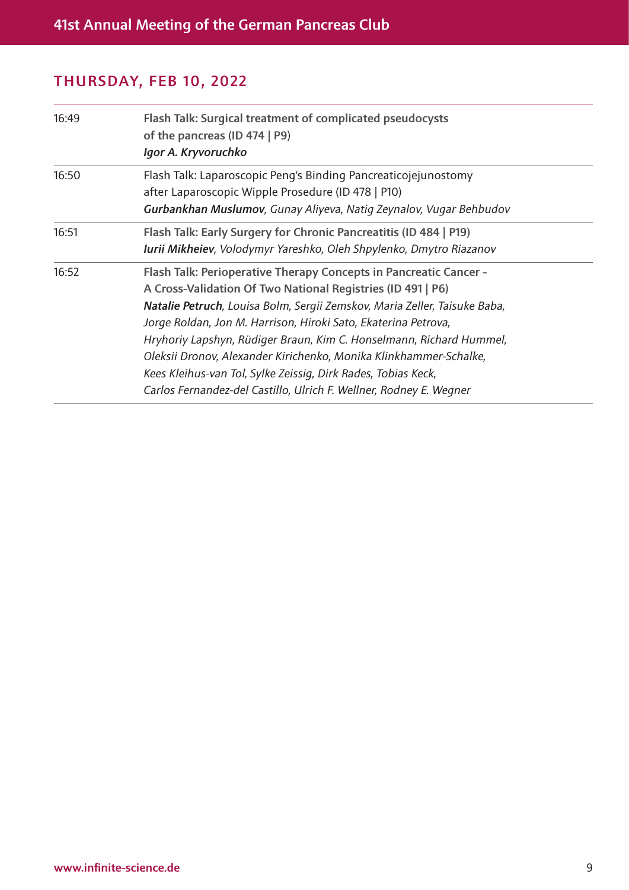| 16:49 | Flash Talk: Surgical treatment of complicated pseudocysts<br>of the pancreas (ID 474   P9)<br>Igor A. Kryvoruchko                                                                                                                                                                                                                                                                                                                                                                                                                                                  |
|-------|--------------------------------------------------------------------------------------------------------------------------------------------------------------------------------------------------------------------------------------------------------------------------------------------------------------------------------------------------------------------------------------------------------------------------------------------------------------------------------------------------------------------------------------------------------------------|
| 16:50 | Flash Talk: Laparoscopic Peng's Binding Pancreaticojejunostomy<br>after Laparoscopic Wipple Prosedure (ID 478   P10)<br>Gurbankhan Muslumov, Gunay Aliyeva, Natig Zeynalov, Vugar Behbudov                                                                                                                                                                                                                                                                                                                                                                         |
| 16:51 | Flash Talk: Early Surgery for Chronic Pancreatitis (ID 484   P19)<br>Iurii Mikheiev, Volodymyr Yareshko, Oleh Shpylenko, Dmytro Riazanov                                                                                                                                                                                                                                                                                                                                                                                                                           |
| 16:52 | Flash Talk: Perioperative Therapy Concepts in Pancreatic Cancer -<br>A Cross-Validation Of Two National Registries (ID 491   P6)<br>Natalie Petruch, Louisa Bolm, Sergii Zemskov, Maria Zeller, Taisuke Baba,<br>Jorge Roldan, Jon M. Harrison, Hiroki Sato, Ekaterina Petrova,<br>Hryhoriy Lapshyn, Rüdiger Braun, Kim C. Honselmann, Richard Hummel,<br>Oleksii Dronov, Alexander Kirichenko, Monika Klinkhammer-Schalke,<br>Kees Kleihus-van Tol, Sylke Zeissig, Dirk Rades, Tobias Keck,<br>Carlos Fernandez-del Castillo, Ulrich F. Wellner, Rodney E. Wegner |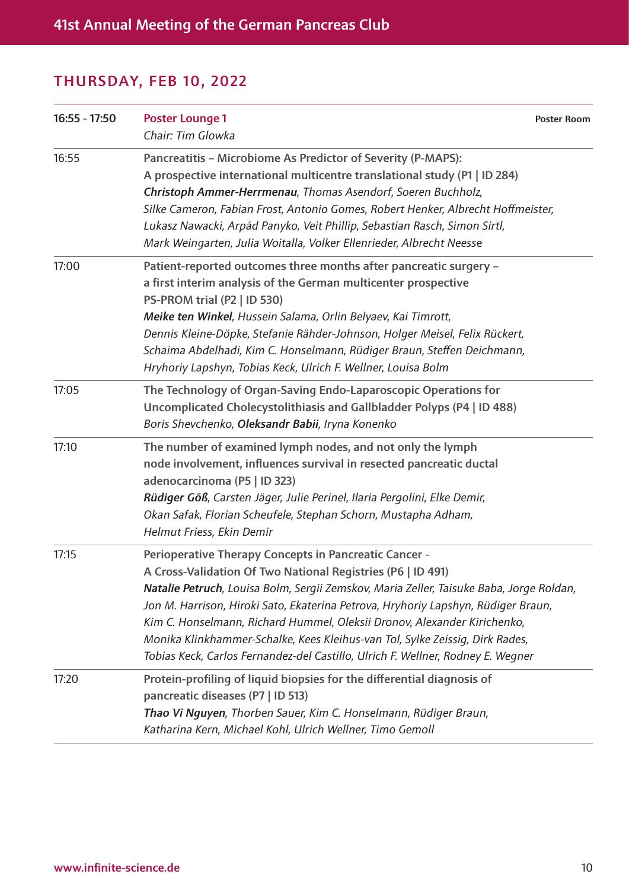| $16:55 - 17:50$ | <b>Poster Lounge 1</b><br>Chair: Tim Glowka                                                                                                                                                                                                                                                                                                                                                                                                                                                                                                                | <b>Poster Room</b> |
|-----------------|------------------------------------------------------------------------------------------------------------------------------------------------------------------------------------------------------------------------------------------------------------------------------------------------------------------------------------------------------------------------------------------------------------------------------------------------------------------------------------------------------------------------------------------------------------|--------------------|
| 16:55           | Pancreatitis - Microbiome As Predictor of Severity (P-MAPS):<br>A prospective international multicentre translational study (P1   ID 284)<br>Christoph Ammer-Herrmenau, Thomas Asendorf, Soeren Buchholz,<br>Silke Cameron, Fabian Frost, Antonio Gomes, Robert Henker, Albrecht Hoffmeister,<br>Lukasz Nawacki, Arpád Panyko, Veit Phillip, Sebastian Rasch, Simon Sirtl,<br>Mark Weingarten, Julia Woitalla, Volker Ellenrieder, Albrecht Neesse                                                                                                         |                    |
| 17:00           | Patient-reported outcomes three months after pancreatic surgery -<br>a first interim analysis of the German multicenter prospective<br>PS-PROM trial (P2   ID 530)<br>Meike ten Winkel, Hussein Salama, Orlin Belyaev, Kai Timrott,<br>Dennis Kleine-Döpke, Stefanie Rähder-Johnson, Holger Meisel, Felix Rückert,<br>Schaima Abdelhadi, Kim C. Honselmann, Rüdiger Braun, Steffen Deichmann,<br>Hryhoriy Lapshyn, Tobias Keck, Ulrich F. Wellner, Louisa Bolm                                                                                             |                    |
| 17:05           | The Technology of Organ-Saving Endo-Laparoscopic Operations for<br>Uncomplicated Cholecystolithiasis and Gallbladder Polyps (P4   ID 488)<br>Boris Shevchenko, Oleksandr Babii, Iryna Konenko                                                                                                                                                                                                                                                                                                                                                              |                    |
| 17:10           | The number of examined lymph nodes, and not only the lymph<br>node involvement, influences survival in resected pancreatic ductal<br>adenocarcinoma (P5   ID 323)<br>Rüdiger Göß, Carsten Jäger, Julie Perinel, Ilaria Pergolini, Elke Demir,<br>Okan Safak, Florian Scheufele, Stephan Schorn, Mustapha Adham,<br>Helmut Friess, Ekin Demir                                                                                                                                                                                                               |                    |
| 17:15           | <b>Perioperative Therapy Concepts in Pancreatic Cancer -</b><br>A Cross-Validation Of Two National Registries (P6   ID 491)<br>Natalie Petruch, Louisa Bolm, Sergii Zemskov, Maria Zeller, Taisuke Baba, Jorge Roldan,<br>Jon M. Harrison, Hiroki Sato, Ekaterina Petrova, Hryhoriy Lapshyn, Rüdiger Braun,<br>Kim C. Honselmann, Richard Hummel, Oleksii Dronov, Alexander Kirichenko,<br>Monika Klinkhammer-Schalke, Kees Kleihus-van Tol, Sylke Zeissig, Dirk Rades,<br>Tobias Keck, Carlos Fernandez-del Castillo, Ulrich F. Wellner, Rodney E. Wegner |                    |
| 17:20           | Protein-profiling of liquid biopsies for the differential diagnosis of<br>pancreatic diseases (P7   ID 513)<br>Thao Vi Nguyen, Thorben Sauer, Kim C. Honselmann, Rüdiger Braun,<br>Katharina Kern, Michael Kohl, Ulrich Wellner, Timo Gemoll                                                                                                                                                                                                                                                                                                               |                    |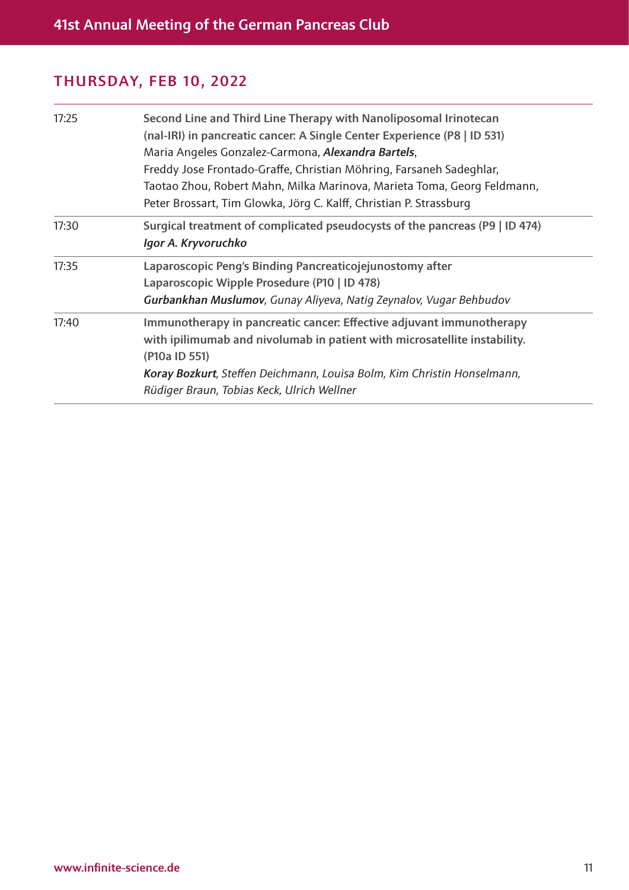| 17:25 | Second Line and Third Line Therapy with Nanoliposomal Irinotecan<br>(nal-IRI) in pancreatic cancer. A Single Center Experience (P8   ID 531)<br>Maria Angeles Gonzalez-Carmona, Alexandra Bartels,<br>Freddy Jose Frontado-Graffe, Christian Möhring, Farsaneh Sadeghlar,<br>Taotao Zhou, Robert Mahn, Milka Marinova, Marieta Toma, Georg Feldmann,<br>Peter Brossart, Tim Glowka, Jörg C. Kalff, Christian P. Strassburg |
|-------|----------------------------------------------------------------------------------------------------------------------------------------------------------------------------------------------------------------------------------------------------------------------------------------------------------------------------------------------------------------------------------------------------------------------------|
| 17:30 | Surgical treatment of complicated pseudocysts of the pancreas (P9   ID 474)<br>Igor A. Kryvoruchko                                                                                                                                                                                                                                                                                                                         |
| 17:35 | Laparoscopic Peng's Binding Pancreaticojejunostomy after<br>Laparoscopic Wipple Prosedure (P10   ID 478)<br>Gurbankhan Muslumov, Gunay Aliyeva, Natig Zeynalov, Vugar Behbudov                                                                                                                                                                                                                                             |
| 17:40 | Immunotherapy in pancreatic cancer. Effective adjuvant immunotherapy<br>with ipilimumab and nivolumab in patient with microsatellite instability.<br>(P10a ID 551)<br>Koray Bozkurt, Steffen Deichmann, Louisa Bolm, Kim Christin Honselmann,<br>Rüdiger Braun, Tobias Keck, Ulrich Wellner                                                                                                                                |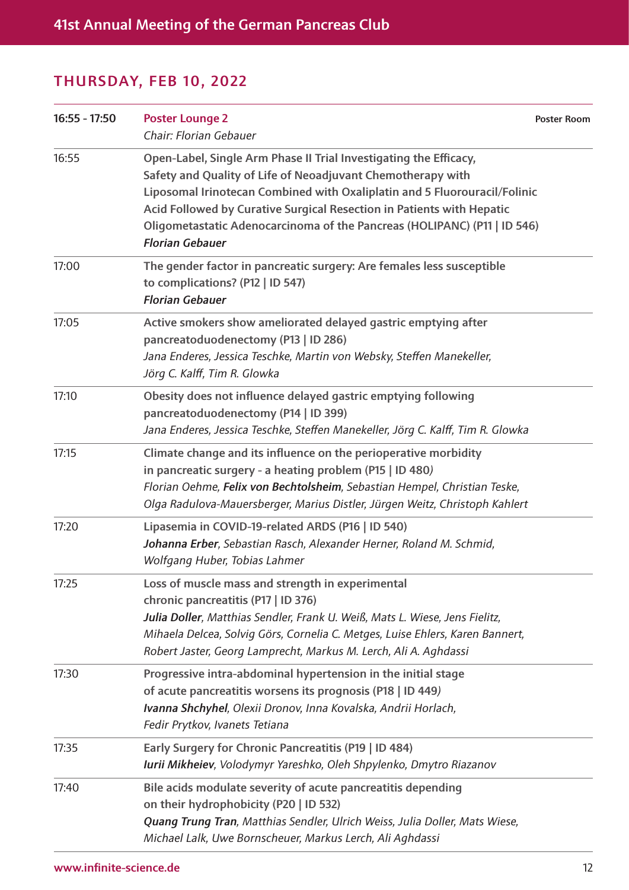| $16:55 - 17:50$ | <b>Poster Lounge 2</b><br>Chair: Florian Gebauer                                                                                                                                                                                                                                                                                                                                             | <b>Poster Room</b> |
|-----------------|----------------------------------------------------------------------------------------------------------------------------------------------------------------------------------------------------------------------------------------------------------------------------------------------------------------------------------------------------------------------------------------------|--------------------|
| 16:55           | Open-Label, Single Arm Phase II Trial Investigating the Efficacy,<br>Safety and Quality of Life of Neoadjuvant Chemotherapy with<br>Liposomal Irinotecan Combined with Oxaliplatin and 5 Fluorouracil/Folinic<br>Acid Followed by Curative Surgical Resection in Patients with Hepatic<br>Oligometastatic Adenocarcinoma of the Pancreas (HOLIPANC) (P11   ID 546)<br><b>Florian Gebauer</b> |                    |
| 17:00           | The gender factor in pancreatic surgery: Are females less susceptible<br>to complications? (P12   ID 547)<br><b>Florian Gebauer</b>                                                                                                                                                                                                                                                          |                    |
| 17:05           | Active smokers show ameliorated delayed gastric emptying after<br>pancreatoduodenectomy (P13   ID 286)<br>Jana Enderes, Jessica Teschke, Martin von Websky, Steffen Manekeller,<br>Jörg C. Kalff, Tim R. Glowka                                                                                                                                                                              |                    |
| 17:10           | Obesity does not influence delayed gastric emptying following<br>pancreatoduodenectomy (P14   ID 399)<br>Jana Enderes, Jessica Teschke, Steffen Manekeller, Jörg C. Kalff, Tim R. Glowka                                                                                                                                                                                                     |                    |
| 17:15           | Climate change and its influence on the perioperative morbidity<br>in pancreatic surgery - a heating problem (P15   ID 480)<br>Florian Oehme, Felix von Bechtolsheim, Sebastian Hempel, Christian Teske,<br>Olga Radulova-Mauersberger, Marius Distler, Jürgen Weitz, Christoph Kahlert                                                                                                      |                    |
| 17:20           | Lipasemia in COVID-19-related ARDS (P16   ID 540)<br>Johanna Erber, Sebastian Rasch, Alexander Herner, Roland M. Schmid,<br>Wolfgang Huber, Tobias Lahmer                                                                                                                                                                                                                                    |                    |
| 17:25           | Loss of muscle mass and strength in experimental<br>chronic pancreatitis (P17   ID 376)<br>Julia Doller, Matthias Sendler, Frank U. Weiß, Mats L. Wiese, Jens Fielitz,<br>Mihaela Delcea, Solvig Görs, Cornelia C. Metges, Luise Ehlers, Karen Bannert,<br>Robert Jaster, Georg Lamprecht, Markus M. Lerch, Ali A. Aghdassi                                                                  |                    |
| 17:30           | Progressive intra-abdominal hypertension in the initial stage<br>of acute pancreatitis worsens its prognosis (P18   ID 449)<br>Ivanna Shchyhel, Olexii Dronov, Inna Kovalska, Andrii Horlach,<br>Fedir Prytkov, Ivanets Tetiana                                                                                                                                                              |                    |
| 17:35           | Early Surgery for Chronic Pancreatitis (P19   ID 484)<br>Iurii Mikheiev, Volodymyr Yareshko, Oleh Shpylenko, Dmytro Riazanov                                                                                                                                                                                                                                                                 |                    |
| 17:40           | Bile acids modulate severity of acute pancreatitis depending<br>on their hydrophobicity (P20   ID 532)<br>Quang Trung Tran, Matthias Sendler, Ulrich Weiss, Julia Doller, Mats Wiese,<br>Michael Lalk, Uwe Bornscheuer, Markus Lerch, Ali Aghdassi                                                                                                                                           |                    |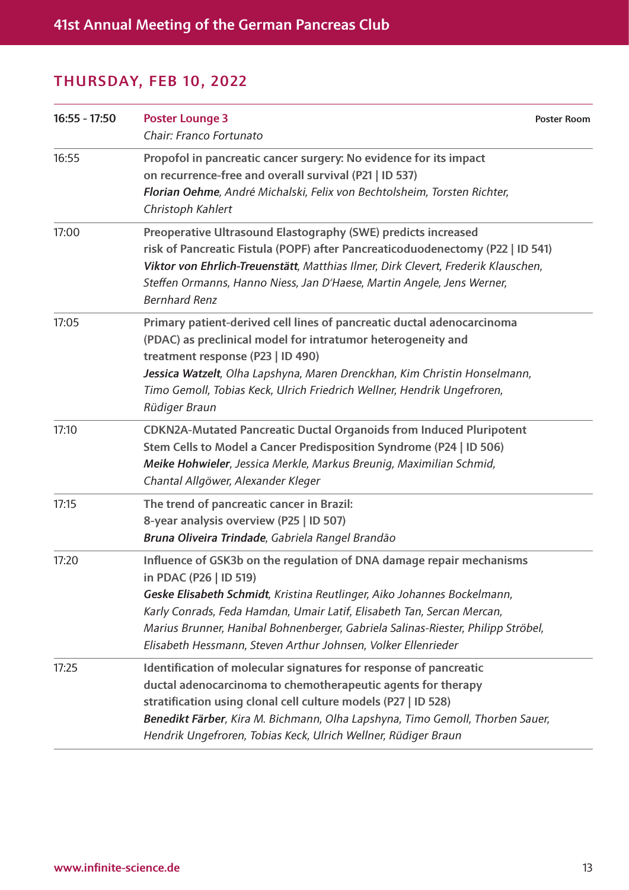| $16:55 - 17:50$ | <b>Poster Lounge 3</b><br>Chair: Franco Fortunato                                                                                                                                                                                                                                                                                                                                                        | <b>Poster Room</b> |
|-----------------|----------------------------------------------------------------------------------------------------------------------------------------------------------------------------------------------------------------------------------------------------------------------------------------------------------------------------------------------------------------------------------------------------------|--------------------|
| 16:55           | Propofol in pancreatic cancer surgery: No evidence for its impact<br>on recurrence-free and overall survival (P21   ID 537)<br>Florian Oehme, André Michalski, Felix von Bechtolsheim, Torsten Richter,<br>Christoph Kahlert                                                                                                                                                                             |                    |
| 17:00           | Preoperative Ultrasound Elastography (SWE) predicts increased<br>risk of Pancreatic Fistula (POPF) after Pancreaticoduodenectomy (P22   ID 541)<br>Viktor von Ehrlich-Treuenstätt, Matthias Ilmer, Dirk Clevert, Frederik Klauschen,<br>Steffen Ormanns, Hanno Niess, Jan D'Haese, Martin Angele, Jens Werner,<br><b>Bernhard Renz</b>                                                                   |                    |
| 17:05           | Primary patient-derived cell lines of pancreatic ductal adenocarcinoma<br>(PDAC) as preclinical model for intratumor heterogeneity and<br>treatment response (P23   ID 490)<br>Jessica Watzelt, Olha Lapshyna, Maren Drenckhan, Kim Christin Honselmann,<br>Timo Gemoll, Tobias Keck, Ulrich Friedrich Wellner, Hendrik Ungefroren,<br>Rüdiger Braun                                                     |                    |
| 17:10           | <b>CDKN2A-Mutated Pancreatic Ductal Organoids from Induced Pluripotent</b><br>Stem Cells to Model a Cancer Predisposition Syndrome (P24   ID 506)<br>Meike Hohwieler, Jessica Merkle, Markus Breunig, Maximilian Schmid,<br>Chantal Allgöwer, Alexander Kleger                                                                                                                                           |                    |
| 17:15           | The trend of pancreatic cancer in Brazil:<br>8-year analysis overview (P25   ID 507)<br>Bruna Oliveira Trindade, Gabriela Rangel Brandão                                                                                                                                                                                                                                                                 |                    |
| 17:20           | Influence of GSK3b on the regulation of DNA damage repair mechanisms<br>in PDAC (P26   ID 519)<br>Geske Elisabeth Schmidt, Kristina Reutlinger, Aiko Johannes Bockelmann,<br>Karly Conrads, Feda Hamdan, Umair Latif, Elisabeth Tan, Sercan Mercan,<br>Marius Brunner, Hanibal Bohnenberger, Gabriela Salinas-Riester, Philipp Ströbel,<br>Elisabeth Hessmann, Steven Arthur Johnsen, Volker Ellenrieder |                    |
| 17:25           | Identification of molecular signatures for response of pancreatic<br>ductal adenocarcinoma to chemotherapeutic agents for therapy<br>stratification using clonal cell culture models (P27   ID 528)<br>Benedikt Färber, Kira M. Bichmann, Olha Lapshyna, Timo Gemoll, Thorben Sauer,<br>Hendrik Ungefroren, Tobias Keck, Ulrich Wellner, Rüdiger Braun                                                   |                    |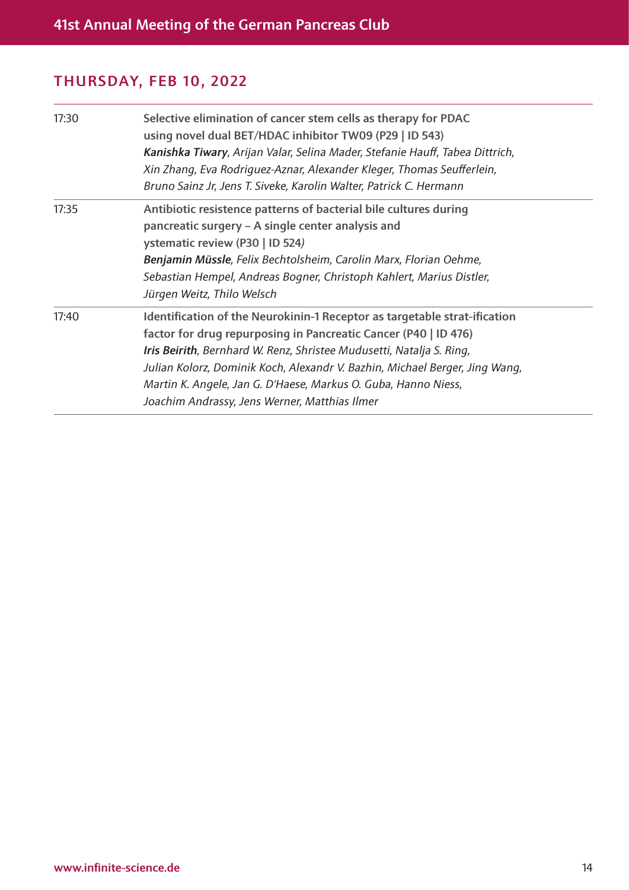| 17:30 | Selective elimination of cancer stem cells as therapy for PDAC<br>using novel dual BET/HDAC inhibitor TW09 (P29   ID 543)<br>Kanishka Tiwary, Arijan Valar, Selina Mader, Stefanie Hauff, Tabea Dittrich,<br>Xin Zhang, Eva Rodriguez-Aznar, Alexander Kleger, Thomas Seufferlein,<br>Bruno Sainz Jr, Jens T. Siveke, Karolin Walter, Patrick C. Hermann                                                               |
|-------|------------------------------------------------------------------------------------------------------------------------------------------------------------------------------------------------------------------------------------------------------------------------------------------------------------------------------------------------------------------------------------------------------------------------|
| 17:35 | Antibiotic resistence patterns of bacterial bile cultures during<br>pancreatic surgery - A single center analysis and<br>ystematic review (P30   ID 524)<br>Benjamin Müssle, Felix Bechtolsheim, Carolin Marx, Florian Oehme,<br>Sebastian Hempel, Andreas Bogner, Christoph Kahlert, Marius Distler,<br>Jürgen Weitz, Thilo Welsch                                                                                    |
| 17:40 | Identification of the Neurokinin-1 Receptor as targetable strat-ification<br>factor for drug repurposing in Pancreatic Cancer (P40   ID 476)<br>Iris Beirith, Bernhard W. Renz, Shristee Mudusetti, Natalja S. Ring,<br>Julian Kolorz, Dominik Koch, Alexandr V. Bazhin, Michael Berger, Jing Wang,<br>Martin K. Angele, Jan G. D'Haese, Markus O. Guba, Hanno Niess,<br>Joachim Andrassy, Jens Werner, Matthias Ilmer |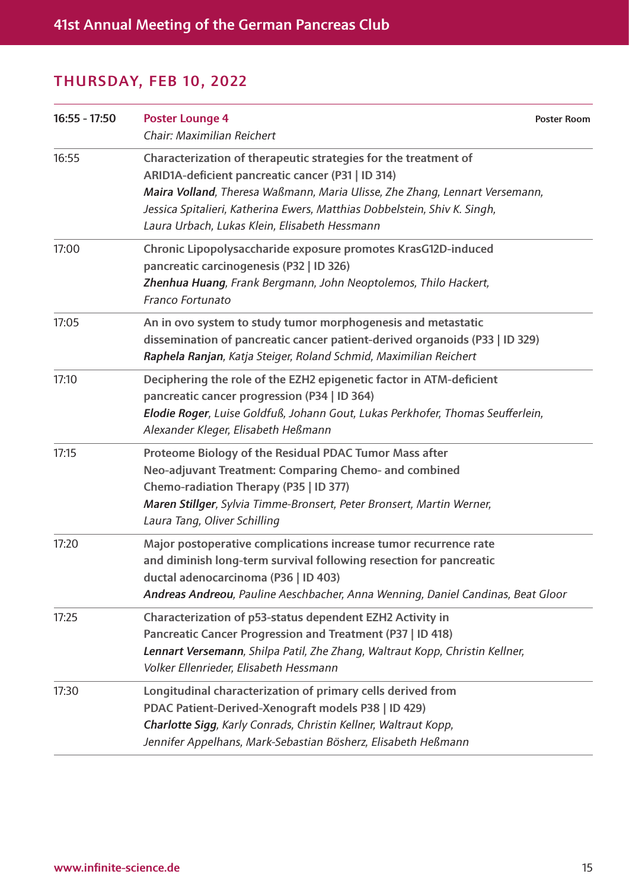| $16:55 - 17:50$ | <b>Poster Lounge 4</b><br>Chair: Maximilian Reichert                                                                                                                                                                                                                                                                              | <b>Poster Room</b> |
|-----------------|-----------------------------------------------------------------------------------------------------------------------------------------------------------------------------------------------------------------------------------------------------------------------------------------------------------------------------------|--------------------|
| 16:55           | Characterization of therapeutic strategies for the treatment of<br>ARID1A-deficient pancreatic cancer (P31   ID 314)<br>Maira Volland, Theresa Waßmann, Maria Ulisse, Zhe Zhang, Lennart Versemann,<br>Jessica Spitalieri, Katherina Ewers, Matthias Dobbelstein, Shiv K. Singh,<br>Laura Urbach, Lukas Klein, Elisabeth Hessmann |                    |
| 17:00           | Chronic Lipopolysaccharide exposure promotes KrasG12D-induced<br>pancreatic carcinogenesis (P32   ID 326)<br>Zhenhua Huang, Frank Bergmann, John Neoptolemos, Thilo Hackert,<br>Franco Fortunato                                                                                                                                  |                    |
| 17:05           | An in ovo system to study tumor morphogenesis and metastatic<br>dissemination of pancreatic cancer patient-derived organoids (P33   ID 329)<br>Raphela Ranjan, Katja Steiger, Roland Schmid, Maximilian Reichert                                                                                                                  |                    |
| 17:10           | Deciphering the role of the EZH2 epigenetic factor in ATM-deficient<br>pancreatic cancer progression (P34   ID 364)<br>Elodie Roger, Luise Goldfuß, Johann Gout, Lukas Perkhofer, Thomas Seufferlein,<br>Alexander Kleger, Elisabeth Heßmann                                                                                      |                    |
| 17:15           | Proteome Biology of the Residual PDAC Tumor Mass after<br>Neo-adjuvant Treatment: Comparing Chemo- and combined<br>Chemo-radiation Therapy (P35   ID 377)<br>Maren Stillger, Sylvia Timme-Bronsert, Peter Bronsert, Martin Werner,<br>Laura Tang, Oliver Schilling                                                                |                    |
| 17:20           | Major postoperative complications increase tumor recurrence rate<br>and diminish long-term survival following resection for pancreatic<br>ductal adenocarcinoma (P36   ID 403)<br>Andreas Andreou, Pauline Aeschbacher, Anna Wenning, Daniel Candinas, Beat Gloor                                                                 |                    |
| 17:25           | Characterization of p53-status dependent EZH2 Activity in<br>Pancreatic Cancer Progression and Treatment (P37   ID 418)<br>Lennart Versemann, Shilpa Patil, Zhe Zhang, Waltraut Kopp, Christin Kellner,<br>Volker Ellenrieder, Elisabeth Hessmann                                                                                 |                    |
| 17:30           | Longitudinal characterization of primary cells derived from<br>PDAC Patient-Derived-Xenograft models P38   ID 429)<br>Charlotte Sigg, Karly Conrads, Christin Kellner, Waltraut Kopp,<br>Jennifer Appelhans, Mark-Sebastian Bösherz, Elisabeth Heßmann                                                                            |                    |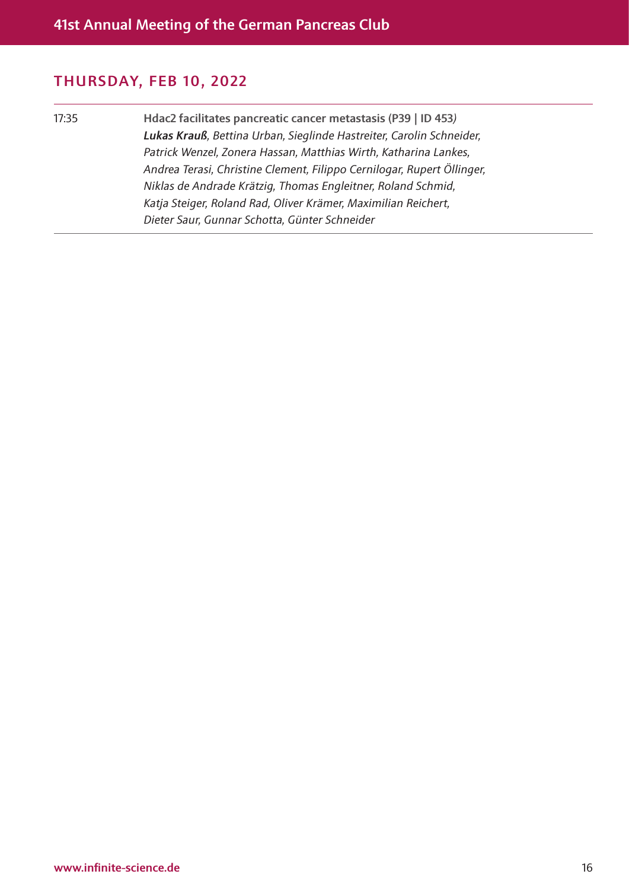17:35 Hdac2 facilitates pancreatic cancer metastasis (P39 | ID 453*) Lukas Krauß, Bettina Urban, Sieglinde Hastreiter, Carolin Schneider, Patrick Wenzel, Zonera Hassan, Matthias Wirth, Katharina Lankes, Andrea Terasi, Christine Clement, Filippo Cernilogar, Rupert Öllinger, Niklas de Andrade Krätzig, Thomas Engleitner, Roland Schmid, Katja Steiger, Roland Rad, Oliver Krämer, Maximilian Reichert, Dieter Saur, Gunnar Schotta, Günter Schneider*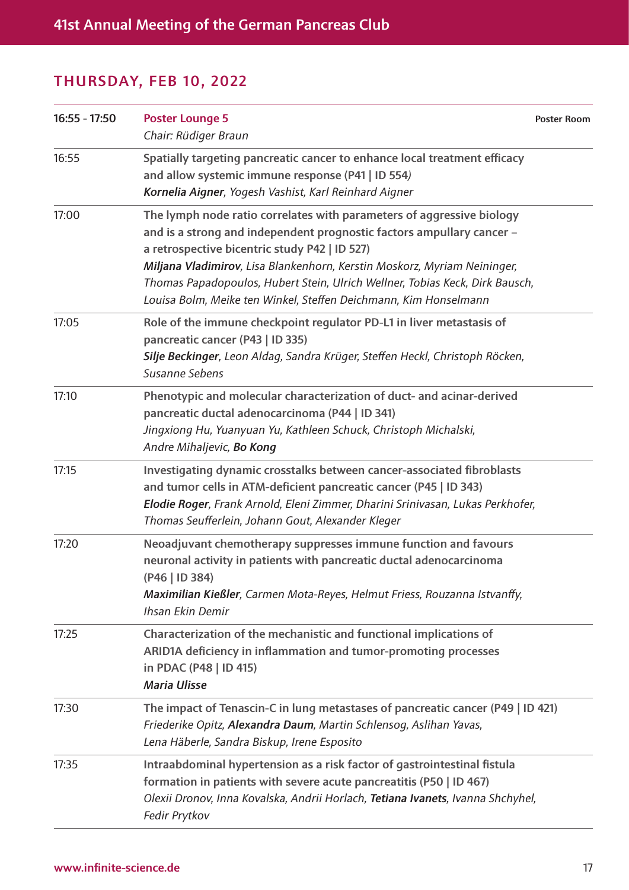| $16:55 - 17:50$ | <b>Poster Lounge 5</b><br>Chair: Rüdiger Braun                                                                                                                                                                                                                                                                                                                                                                                  | <b>Poster Room</b> |
|-----------------|---------------------------------------------------------------------------------------------------------------------------------------------------------------------------------------------------------------------------------------------------------------------------------------------------------------------------------------------------------------------------------------------------------------------------------|--------------------|
| 16:55           | Spatially targeting pancreatic cancer to enhance local treatment efficacy<br>and allow systemic immune response (P41   ID 554)<br>Kornelia Aigner, Yogesh Vashist, Karl Reinhard Aigner                                                                                                                                                                                                                                         |                    |
| 17:00           | The lymph node ratio correlates with parameters of aggressive biology<br>and is a strong and independent prognostic factors ampullary cancer -<br>a retrospective bicentric study P42   ID 527)<br>Miljana Vladimirov, Lisa Blankenhorn, Kerstin Moskorz, Myriam Neininger,<br>Thomas Papadopoulos, Hubert Stein, Ulrich Wellner, Tobias Keck, Dirk Bausch,<br>Louisa Bolm, Meike ten Winkel, Steffen Deichmann, Kim Honselmann |                    |
| 17:05           | Role of the immune checkpoint regulator PD-L1 in liver metastasis of<br>pancreatic cancer (P43   ID 335)<br>Silje Beckinger, Leon Aldag, Sandra Krüger, Steffen Heckl, Christoph Röcken,<br>Susanne Sebens                                                                                                                                                                                                                      |                    |
| 17:10           | Phenotypic and molecular characterization of duct- and acinar-derived<br>pancreatic ductal adenocarcinoma (P44   ID 341)<br>Jingxiong Hu, Yuanyuan Yu, Kathleen Schuck, Christoph Michalski,<br>Andre Mihaljevic, Bo Kong                                                                                                                                                                                                       |                    |
| 17:15           | Investigating dynamic crosstalks between cancer-associated fibroblasts<br>and tumor cells in ATM-deficient pancreatic cancer (P45   ID 343)<br>Elodie Roger, Frank Arnold, Eleni Zimmer, Dharini Srinivasan, Lukas Perkhofer,<br>Thomas Seufferlein, Johann Gout, Alexander Kleger                                                                                                                                              |                    |
| 17:20           | Neoadjuvant chemotherapy suppresses immune function and favours<br>neuronal activity in patients with pancreatic ductal adenocarcinoma<br>(P46   ID 384)<br>Maximilian Kießler, Carmen Mota-Reyes, Helmut Friess, Rouzanna Istvanffy,<br>Ihsan Ekin Demir                                                                                                                                                                       |                    |
| 17:25           | Characterization of the mechanistic and functional implications of<br>ARID1A deficiency in inflammation and tumor-promoting processes<br>in PDAC (P48   ID 415)<br><b>Maria Ulisse</b>                                                                                                                                                                                                                                          |                    |
| 17:30           | The impact of Tenascin-C in lung metastases of pancreatic cancer (P49   ID 421)<br>Friederike Opitz, Alexandra Daum, Martin Schlensog, Aslihan Yavas,<br>Lena Häberle, Sandra Biskup, Irene Esposito                                                                                                                                                                                                                            |                    |
| 17:35           | Intraabdominal hypertension as a risk factor of gastrointestinal fistula<br>formation in patients with severe acute pancreatitis (P50   ID 467)<br>Olexii Dronov, Inna Kovalska, Andrii Horlach, Tetiana Ivanets, Ivanna Shchyhel,<br>Fedir Prytkov                                                                                                                                                                             |                    |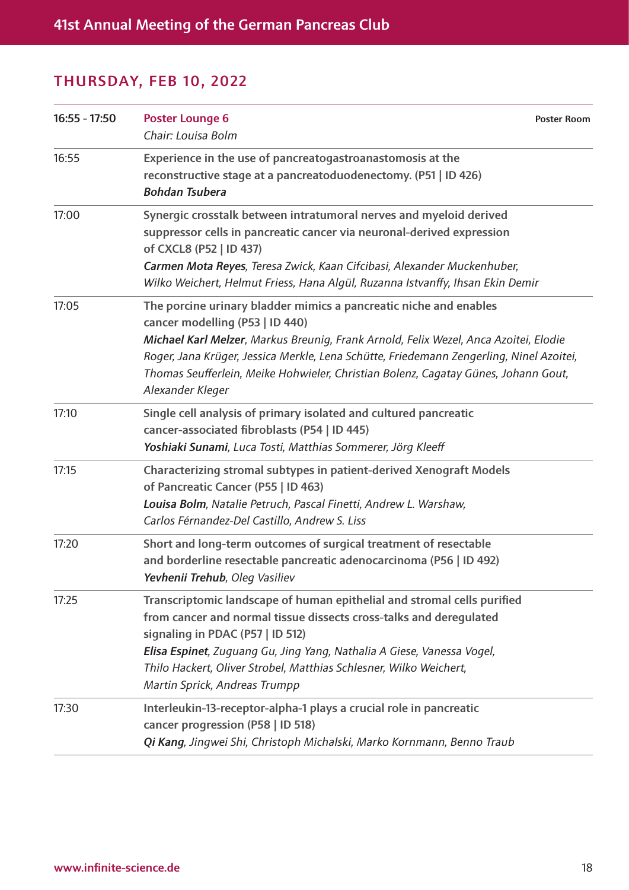| $16:55 - 17:50$ | <b>Poster Lounge 6</b><br>Chair: Louisa Bolm                                                                                                                                                                                                                                                                                                                                                      | <b>Poster Room</b> |
|-----------------|---------------------------------------------------------------------------------------------------------------------------------------------------------------------------------------------------------------------------------------------------------------------------------------------------------------------------------------------------------------------------------------------------|--------------------|
| 16:55           | Experience in the use of pancreatogastroanastomosis at the<br>reconstructive stage at a pancreatoduodenectomy. (P51   ID 426)<br><b>Bohdan Tsubera</b>                                                                                                                                                                                                                                            |                    |
| 17:00           | Synergic crosstalk between intratumoral nerves and myeloid derived<br>suppressor cells in pancreatic cancer via neuronal-derived expression<br>of CXCL8 (P52   ID 437)<br>Carmen Mota Reyes, Teresa Zwick, Kaan Cifcibasi, Alexander Muckenhuber,<br>Wilko Weichert, Helmut Friess, Hana Algül, Ruzanna Istvanffy, Ihsan Ekin Demir                                                               |                    |
| 17:05           | The porcine urinary bladder mimics a pancreatic niche and enables<br>cancer modelling (P53   ID 440)<br>Michael Karl Melzer, Markus Breunig, Frank Arnold, Felix Wezel, Anca Azoitei, Elodie<br>Roger, Jana Krüger, Jessica Merkle, Lena Schütte, Friedemann Zengerling, Ninel Azoitei,<br>Thomas Seufferlein, Meike Hohwieler, Christian Bolenz, Cagatay Günes, Johann Gout,<br>Alexander Kleger |                    |
| 17:10           | Single cell analysis of primary isolated and cultured pancreatic<br>cancer-associated fibroblasts (P54   ID 445)<br>Yoshiaki Sunami, Luca Tosti, Matthias Sommerer, Jörg Kleeff                                                                                                                                                                                                                   |                    |
| 17:15           | Characterizing stromal subtypes in patient-derived Xenograft Models<br>of Pancreatic Cancer (P55   ID 463)<br>Louisa Bolm, Natalie Petruch, Pascal Finetti, Andrew L. Warshaw,<br>Carlos Férnandez-Del Castillo, Andrew S. Liss                                                                                                                                                                   |                    |
| 17:20           | Short and long-term outcomes of surgical treatment of resectable<br>and borderline resectable pancreatic adenocarcinoma (P56   ID 492)<br>Yevhenii Trehub, Oleg Vasiliev                                                                                                                                                                                                                          |                    |
| 17:25           | Transcriptomic landscape of human epithelial and stromal cells purified<br>from cancer and normal tissue dissects cross-talks and deregulated<br>signaling in PDAC (P57   ID 512)<br>Elisa Espinet, Zuguang Gu, Jing Yang, Nathalia A Giese, Vanessa Vogel,<br>Thilo Hackert, Oliver Strobel, Matthias Schlesner, Wilko Weichert,<br>Martin Sprick, Andreas Trumpp                                |                    |
| 17:30           | Interleukin-13-receptor-alpha-1 plays a crucial role in pancreatic<br>cancer progression (P58   ID 518)<br>Qi Kang, Jingwei Shi, Christoph Michalski, Marko Kornmann, Benno Traub                                                                                                                                                                                                                 |                    |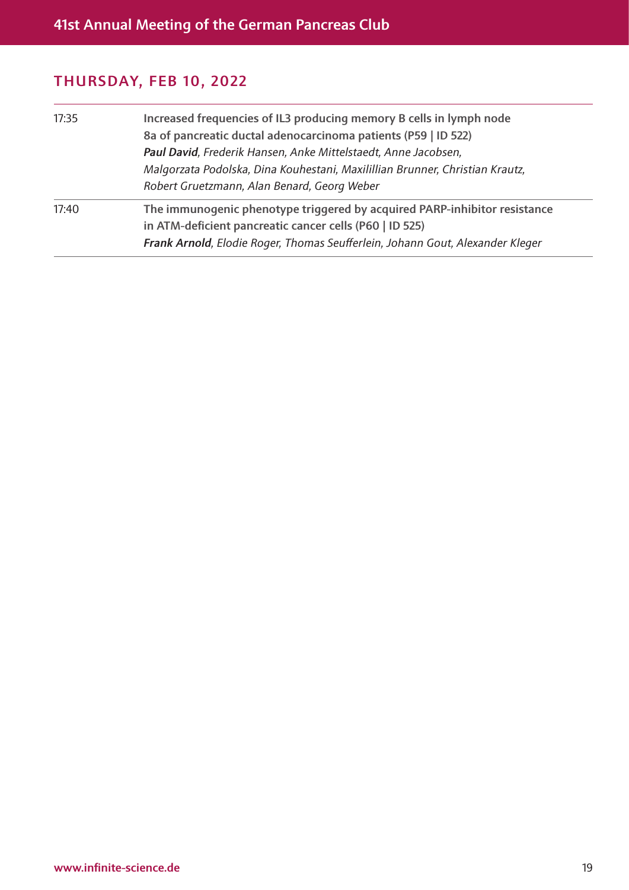| 17:35 | Increased frequencies of IL3 producing memory B cells in lymph node<br>8a of pancreatic ductal adenocarcinoma patients (P59   ID 522)<br>Paul David, Frederik Hansen, Anke Mittelstaedt, Anne Jacobsen,<br>Malgorzata Podolska, Dina Kouhestani, Maxilillian Brunner, Christian Krautz,<br>Robert Gruetzmann, Alan Benard, Georg Weber |
|-------|----------------------------------------------------------------------------------------------------------------------------------------------------------------------------------------------------------------------------------------------------------------------------------------------------------------------------------------|
| 17:40 | The immunogenic phenotype triggered by acquired PARP-inhibitor resistance<br>in ATM-deficient pancreatic cancer cells (P60   ID 525)<br>Frank Arnold, Elodie Roger, Thomas Seufferlein, Johann Gout, Alexander Kleger                                                                                                                  |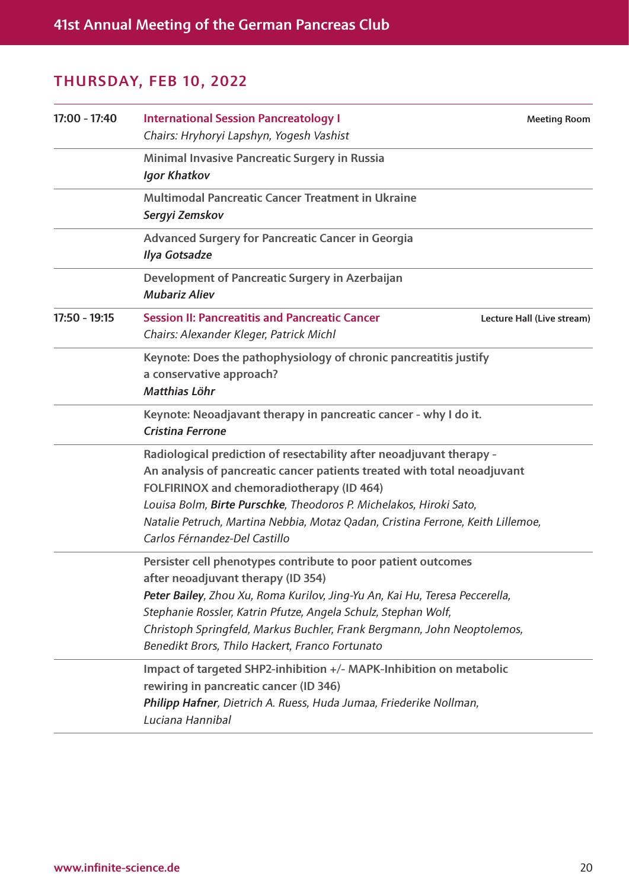| $17:00 - 17:40$ | <b>International Session Pancreatology I</b><br>Chairs: Hryhoryi Lapshyn, Yogesh Vashist                                                                                                                                                                                                                                                                                                | <b>Meeting Room</b>        |
|-----------------|-----------------------------------------------------------------------------------------------------------------------------------------------------------------------------------------------------------------------------------------------------------------------------------------------------------------------------------------------------------------------------------------|----------------------------|
|                 | Minimal Invasive Pancreatic Surgery in Russia<br><b>Igor Khatkov</b>                                                                                                                                                                                                                                                                                                                    |                            |
|                 | <b>Multimodal Pancreatic Cancer Treatment in Ukraine</b><br>Sergyi Zemskov                                                                                                                                                                                                                                                                                                              |                            |
|                 | Advanced Surgery for Pancreatic Cancer in Georgia<br><b>Ilya Gotsadze</b>                                                                                                                                                                                                                                                                                                               |                            |
|                 | Development of Pancreatic Surgery in Azerbaijan<br><b>Mubariz Aliev</b>                                                                                                                                                                                                                                                                                                                 |                            |
| $17:50 - 19:15$ | <b>Session II: Pancreatitis and Pancreatic Cancer</b><br>Chairs: Alexander Kleger, Patrick Michl                                                                                                                                                                                                                                                                                        | Lecture Hall (Live stream) |
|                 | Keynote: Does the pathophysiology of chronic pancreatitis justify<br>a conservative approach?<br>Matthias Löhr                                                                                                                                                                                                                                                                          |                            |
|                 | Keynote: Neoadjavant therapy in pancreatic cancer - why I do it.<br><b>Cristina Ferrone</b>                                                                                                                                                                                                                                                                                             |                            |
|                 | Radiological prediction of resectability after neoadjuvant therapy -<br>An analysis of pancreatic cancer patients treated with total neoadjuvant<br>FOLFIRINOX and chemoradiotherapy (ID 464)<br>Louisa Bolm, Birte Purschke, Theodoros P. Michelakos, Hiroki Sato,<br>Natalie Petruch, Martina Nebbia, Motaz Qadan, Cristina Ferrone, Keith Lillemoe,<br>Carlos Férnandez-Del Castillo |                            |
|                 | Persister cell phenotypes contribute to poor patient outcomes<br>after neoadjuvant therapy (ID 354)<br>Peter Bailey, Zhou Xu, Roma Kurilov, Jing-Yu An, Kai Hu, Teresa Peccerella,<br>Stephanie Rossler, Katrin Pfutze, Angela Schulz, Stephan Wolf,<br>Christoph Springfeld, Markus Buchler, Frank Bergmann, John Neoptolemos,<br>Benedikt Brors, Thilo Hackert, Franco Fortunato      |                            |
|                 | Impact of targeted SHP2-inhibition +/- MAPK-Inhibition on metabolic<br>rewiring in pancreatic cancer (ID 346)<br>Philipp Hafner, Dietrich A. Ruess, Huda Jumaa, Friederike Nollman,<br>Luciana Hannibal                                                                                                                                                                                 |                            |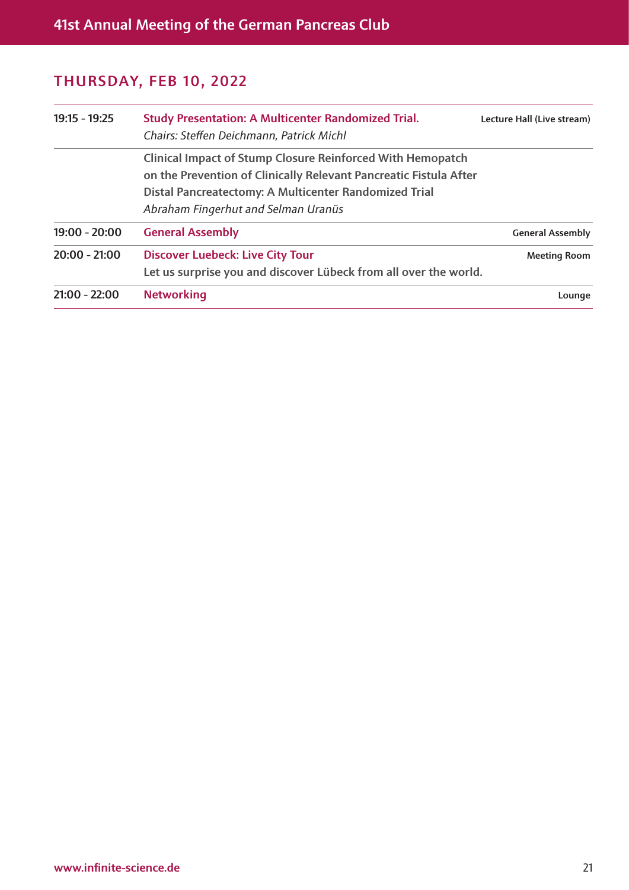| 19:15 - 19:25   | <b>Study Presentation: A Multicenter Randomized Trial.</b><br>Chairs: Steffen Deichmann, Patrick Michl                                                                                                                                 | Lecture Hall (Live stream) |
|-----------------|----------------------------------------------------------------------------------------------------------------------------------------------------------------------------------------------------------------------------------------|----------------------------|
|                 | <b>Clinical Impact of Stump Closure Reinforced With Hemopatch</b><br>on the Prevention of Clinically Relevant Pancreatic Fistula After<br>Distal Pancreatectomy: A Multicenter Randomized Trial<br>Abraham Fingerhut and Selman Uranüs |                            |
| $19:00 - 20:00$ | <b>General Assembly</b>                                                                                                                                                                                                                | <b>General Assembly</b>    |
| $20:00 - 21:00$ | <b>Discover Luebeck: Live City Tour</b><br>Let us surprise you and discover Lübeck from all over the world.                                                                                                                            | <b>Meeting Room</b>        |
| $21:00 - 22:00$ | <b>Networking</b>                                                                                                                                                                                                                      | Lounge                     |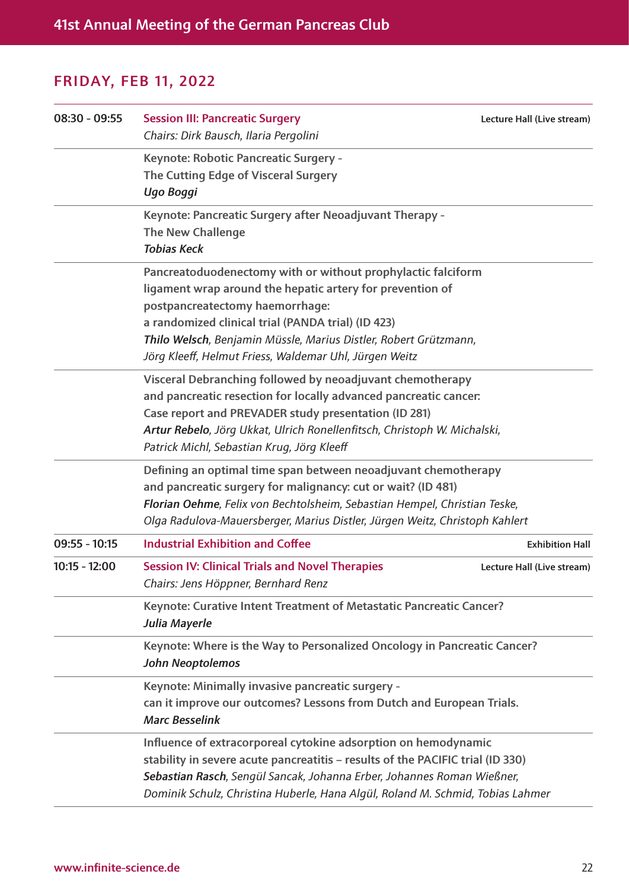| $08:30 - 09:55$ | <b>Session III: Pancreatic Surgery</b><br>Chairs: Dirk Bausch, Ilaria Pergolini                                                                                                                                                                                                                                                                  | Lecture Hall (Live stream) |
|-----------------|--------------------------------------------------------------------------------------------------------------------------------------------------------------------------------------------------------------------------------------------------------------------------------------------------------------------------------------------------|----------------------------|
|                 | Keynote: Robotic Pancreatic Surgery -<br>The Cutting Edge of Visceral Surgery<br>Ugo Boggi                                                                                                                                                                                                                                                       |                            |
|                 | Keynote: Pancreatic Surgery after Neoadjuvant Therapy -<br><b>The New Challenge</b><br><b>Tobias Keck</b>                                                                                                                                                                                                                                        |                            |
|                 | Pancreatoduodenectomy with or without prophylactic falciform<br>ligament wrap around the hepatic artery for prevention of<br>postpancreatectomy haemorrhage:<br>a randomized clinical trial (PANDA trial) (ID 423)<br>Thilo Welsch, Benjamin Müssle, Marius Distler, Robert Grützmann,<br>Jörg Kleeff, Helmut Friess, Waldemar Uhl, Jürgen Weitz |                            |
|                 | Visceral Debranching followed by neoadjuvant chemotherapy<br>and pancreatic resection for locally advanced pancreatic cancer.<br>Case report and PREVADER study presentation (ID 281)<br>Artur Rebelo, Jörg Ukkat, Ulrich Ronellenfitsch, Christoph W. Michalski,<br>Patrick Michl, Sebastian Krug, Jörg Kleeff                                  |                            |
|                 | Defining an optimal time span between neoadjuvant chemotherapy<br>and pancreatic surgery for malignancy: cut or wait? (ID 481)<br>Florian Oehme, Felix von Bechtolsheim, Sebastian Hempel, Christian Teske,<br>Olga Radulova-Mauersberger, Marius Distler, Jürgen Weitz, Christoph Kahlert                                                       |                            |
| $09:55 - 10:15$ | <b>Industrial Exhibition and Coffee</b>                                                                                                                                                                                                                                                                                                          | <b>Exhibition Hall</b>     |
| $10:15 - 12:00$ | <b>Session IV: Clinical Trials and Novel Therapies</b><br>Chairs: Jens Höppner, Bernhard Renz                                                                                                                                                                                                                                                    | Lecture Hall (Live stream) |
|                 | Keynote: Curative Intent Treatment of Metastatic Pancreatic Cancer?<br>Julia Mayerle                                                                                                                                                                                                                                                             |                            |
|                 | Keynote: Where is the Way to Personalized Oncology in Pancreatic Cancer?<br><b>John Neoptolemos</b>                                                                                                                                                                                                                                              |                            |
|                 | Keynote: Minimally invasive pancreatic surgery -<br>can it improve our outcomes? Lessons from Dutch and European Trials.<br><b>Marc Besselink</b>                                                                                                                                                                                                |                            |
|                 | Influence of extracorporeal cytokine adsorption on hemodynamic<br>stability in severe acute pancreatitis - results of the PACIFIC trial (ID 330)<br>Sebastian Rasch, Sengül Sancak, Johanna Erber, Johannes Roman Wießner,<br>Dominik Schulz, Christina Huberle, Hana Algül, Roland M. Schmid, Tobias Lahmer                                     |                            |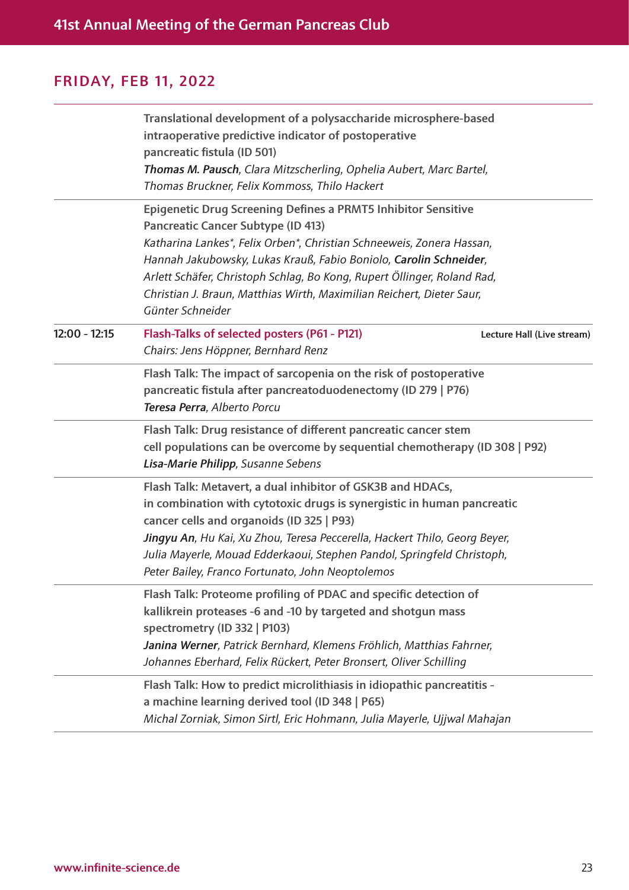|                 | Translational development of a polysaccharide microsphere-based<br>intraoperative predictive indicator of postoperative<br>pancreatic fistula (ID 501)<br>Thomas M. Pausch, Clara Mitzscherling, Ophelia Aubert, Marc Bartel,<br>Thomas Bruckner, Felix Kommoss, Thilo Hackert                                                                                                                                                          |  |
|-----------------|-----------------------------------------------------------------------------------------------------------------------------------------------------------------------------------------------------------------------------------------------------------------------------------------------------------------------------------------------------------------------------------------------------------------------------------------|--|
|                 | <b>Epigenetic Drug Screening Defines a PRMT5 Inhibitor Sensitive</b><br><b>Pancreatic Cancer Subtype (ID 413)</b><br>Katharina Lankes*, Felix Orben*, Christian Schneeweis, Zonera Hassan,<br>Hannah Jakubowsky, Lukas Krauß, Fabio Boniolo, Carolin Schneider,<br>Arlett Schäfer, Christoph Schlag, Bo Kong, Rupert Öllinger, Roland Rad,<br>Christian J. Braun, Matthias Wirth, Maximilian Reichert, Dieter Saur,<br>Günter Schneider |  |
| $12:00 - 12:15$ | Flash-Talks of selected posters (P61 - P121)<br>Lecture Hall (Live stream)<br>Chairs: Jens Höppner, Bernhard Renz                                                                                                                                                                                                                                                                                                                       |  |
|                 | Flash Talk: The impact of sarcopenia on the risk of postoperative<br>pancreatic fistula after pancreatoduodenectomy (ID 279   P76)<br>Teresa Perra, Alberto Porcu                                                                                                                                                                                                                                                                       |  |
|                 | Flash Talk: Drug resistance of different pancreatic cancer stem<br>cell populations can be overcome by sequential chemotherapy (ID 308   P92)<br>Lisa-Marie Philipp, Susanne Sebens                                                                                                                                                                                                                                                     |  |
|                 | Flash Talk: Metavert, a dual inhibitor of GSK3B and HDACs,<br>in combination with cytotoxic drugs is synergistic in human pancreatic<br>cancer cells and organoids (ID 325   P93)<br>Jingyu An, Hu Kai, Xu Zhou, Teresa Peccerella, Hackert Thilo, Georg Beyer,<br>Julia Mayerle, Mouad Edderkaoui, Stephen Pandol, Springfeld Christoph,<br>Peter Bailey, Franco Fortunato, John Neoptolemos                                           |  |
|                 | Flash Talk: Proteome profiling of PDAC and specific detection of<br>kallikrein proteases -6 and -10 by targeted and shotgun mass<br>spectrometry (ID 332   P103)<br>Janina Werner, Patrick Bernhard, Klemens Fröhlich, Matthias Fahrner,<br>Johannes Eberhard, Felix Rückert, Peter Bronsert, Oliver Schilling                                                                                                                          |  |
|                 | Flash Talk: How to predict microlithiasis in idiopathic pancreatitis -<br>a machine learning derived tool (ID 348   P65)<br>Michal Zorniak, Simon Sirtl, Eric Hohmann, Julia Mayerle, Ujjwal Mahajan                                                                                                                                                                                                                                    |  |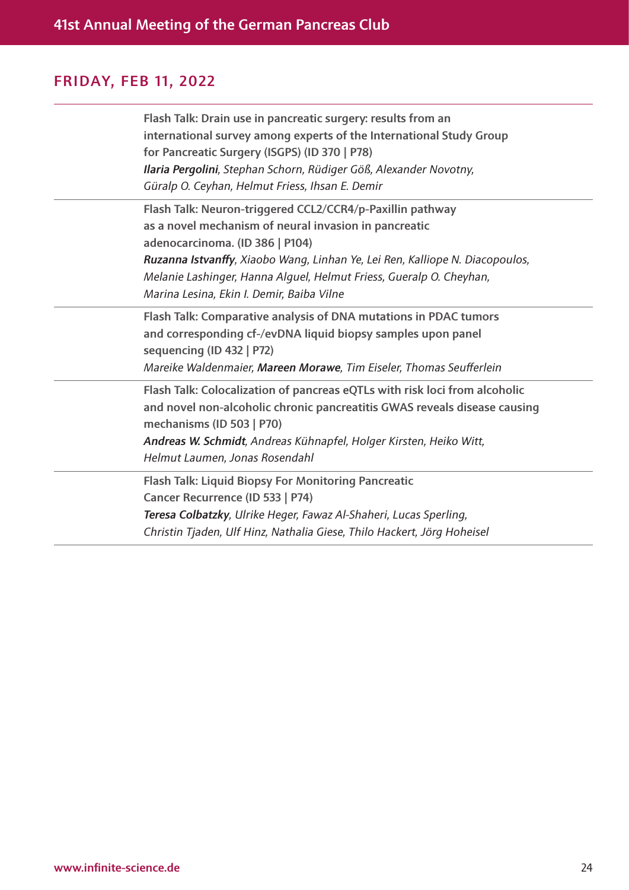| Flash Talk: Drain use in pancreatic surgery: results from an<br>international survey among experts of the International Study Group<br>for Pancreatic Surgery (ISGPS) (ID 370   P78)<br>Ilaria Pergolini, Stephan Schorn, Rüdiger Göß, Alexander Novotny,<br>Güralp O. Ceyhan, Helmut Friess, Ihsan E. Demir                                              |
|-----------------------------------------------------------------------------------------------------------------------------------------------------------------------------------------------------------------------------------------------------------------------------------------------------------------------------------------------------------|
| Flash Talk: Neuron-triggered CCL2/CCR4/p-Paxillin pathway<br>as a novel mechanism of neural invasion in pancreatic<br>adenocarcinoma. (ID 386   P104)<br>Ruzanna Istvanffy, Xiaobo Wang, Linhan Ye, Lei Ren, Kalliope N. Diacopoulos,<br>Melanie Lashinger, Hanna Alguel, Helmut Friess, Gueralp O. Cheyhan,<br>Marina Lesina, Ekin I. Demir, Baiba Vilne |
| Flash Talk: Comparative analysis of DNA mutations in PDAC tumors<br>and corresponding cf-/evDNA liquid biopsy samples upon panel<br>sequencing (ID 432   P72)<br>Mareike Waldenmaier, Mareen Morawe, Tim Eiseler, Thomas Seufferlein                                                                                                                      |
| Flash Talk: Colocalization of pancreas eQTLs with risk loci from alcoholic<br>and novel non-alcoholic chronic pancreatitis GWAS reveals disease causing<br>mechanisms (ID 503   P70)<br>Andreas W. Schmidt, Andreas Kühnapfel, Holger Kirsten, Heiko Witt,<br>Helmut Laumen, Jonas Rosendahl                                                              |
| Flash Talk: Liquid Biopsy For Monitoring Pancreatic<br>Cancer Recurrence (ID 533   P74)<br>Teresa Colbatzky, Ulrike Heger, Fawaz Al-Shaheri, Lucas Sperling,<br>Christin Tjaden, Ulf Hinz, Nathalia Giese, Thilo Hackert, Jörg Hoheisel                                                                                                                   |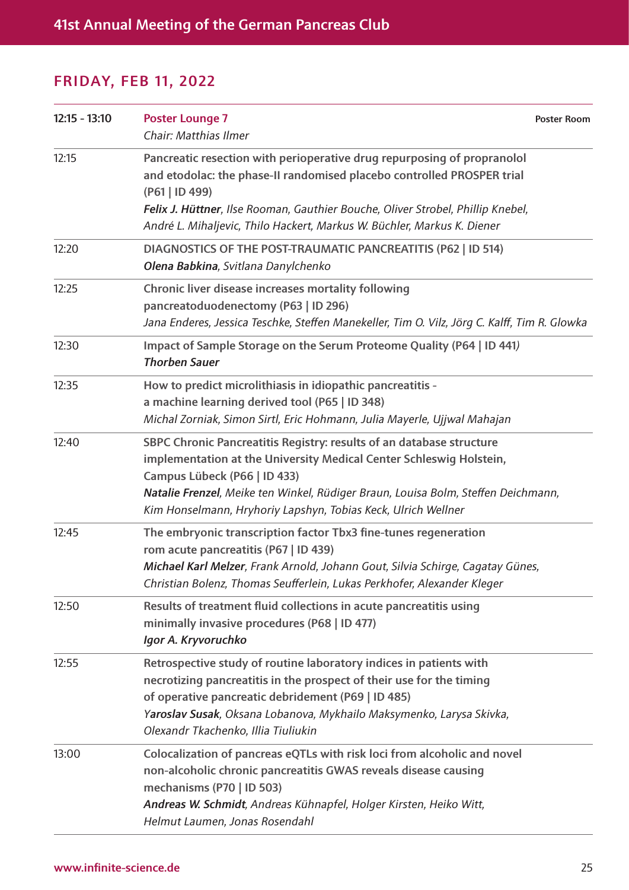| $12:15 - 13:10$ | <b>Poster Lounge 7</b><br><b>Poster Room</b><br>Chair: Matthias Ilmer                                                                                                                                                                                                                                                             |
|-----------------|-----------------------------------------------------------------------------------------------------------------------------------------------------------------------------------------------------------------------------------------------------------------------------------------------------------------------------------|
| 12:15           | Pancreatic resection with perioperative drug repurposing of propranolol<br>and etodolac: the phase-II randomised placebo controlled PROSPER trial<br>(P61   ID 499)<br>Felix J. Hüttner, Ilse Rooman, Gauthier Bouche, Oliver Strobel, Phillip Knebel,<br>André L. Mihaljevic, Thilo Hackert, Markus W. Büchler, Markus K. Diener |
| 12:20           | DIAGNOSTICS OF THE POST-TRAUMATIC PANCREATITIS (P62   ID 514)<br>Olena Babkina, Svitlana Danylchenko                                                                                                                                                                                                                              |
| 12:25           | Chronic liver disease increases mortality following<br>pancreatoduodenectomy (P63   ID 296)<br>Jana Enderes, Jessica Teschke, Steffen Manekeller, Tim O. Vilz, Jörg C. Kalff, Tim R. Glowka                                                                                                                                       |
| 12:30           | Impact of Sample Storage on the Serum Proteome Quality (P64   ID 441)<br><b>Thorben Sauer</b>                                                                                                                                                                                                                                     |
| 12:35           | How to predict microlithiasis in idiopathic pancreatitis -<br>a machine learning derived tool (P65   ID 348)<br>Michal Zorniak, Simon Sirtl, Eric Hohmann, Julia Mayerle, Ujjwal Mahajan                                                                                                                                          |
| 12:40           | SBPC Chronic Pancreatitis Registry: results of an database structure<br>implementation at the University Medical Center Schleswig Holstein,<br>Campus Lübeck (P66   ID 433)<br>Natalie Frenzel, Meike ten Winkel, Rüdiger Braun, Louisa Bolm, Steffen Deichmann,<br>Kim Honselmann, Hryhoriy Lapshyn, Tobias Keck, Ulrich Wellner |
| 12:45           | The embryonic transcription factor Tbx3 fine-tunes regeneration<br>rom acute pancreatitis (P67   ID 439)<br>Michael Karl Melzer, Frank Arnold, Johann Gout, Silvia Schirge, Cagatay Günes,<br>Christian Bolenz, Thomas Seufferlein, Lukas Perkhofer, Alexander Kleger                                                             |
| 12:50           | Results of treatment fluid collections in acute pancreatitis using<br>minimally invasive procedures (P68   ID 477)<br>Igor A. Kryvoruchko                                                                                                                                                                                         |
| 12:55           | Retrospective study of routine laboratory indices in patients with<br>necrotizing pancreatitis in the prospect of their use for the timing<br>of operative pancreatic debridement (P69   ID 485)<br>Yaroslav Susak, Oksana Lobanova, Mykhailo Maksymenko, Larysa Skivka,<br>Olexandr Tkachenko, Illia Tiuliukin                   |
| 13:00           | Colocalization of pancreas eQTLs with risk loci from alcoholic and novel<br>non-alcoholic chronic pancreatitis GWAS reveals disease causing<br>mechanisms (P70   ID 503)<br>Andreas W. Schmidt, Andreas Kühnapfel, Holger Kirsten, Heiko Witt,<br>Helmut Laumen, Jonas Rosendahl                                                  |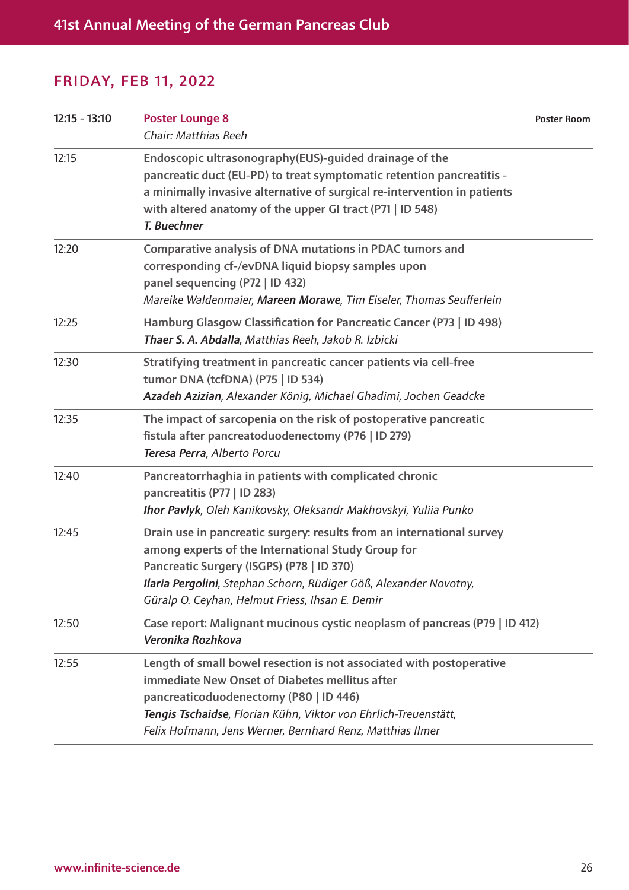| $12:15 - 13:10$ | <b>Poster Lounge 8</b><br>Chair: Matthias Reeh                                                                                                                                                                                                                                                   | <b>Poster Room</b> |
|-----------------|--------------------------------------------------------------------------------------------------------------------------------------------------------------------------------------------------------------------------------------------------------------------------------------------------|--------------------|
| 12:15           | Endoscopic ultrasonography(EUS)-guided drainage of the<br>pancreatic duct (EU-PD) to treat symptomatic retention pancreatitis -<br>a minimally invasive alternative of surgical re-intervention in patients<br>with altered anatomy of the upper GI tract (P71   ID 548)<br><b>T. Buechner</b>   |                    |
| 12:20           | Comparative analysis of DNA mutations in PDAC tumors and<br>corresponding cf-/evDNA liquid biopsy samples upon<br>panel sequencing (P72   ID 432)<br>Mareike Waldenmaier, Mareen Morawe, Tim Eiseler, Thomas Seufferlein                                                                         |                    |
| 12:25           | Hamburg Glasgow Classification for Pancreatic Cancer (P73   ID 498)<br>Thaer S. A. Abdalla, Matthias Reeh, Jakob R. Izbicki                                                                                                                                                                      |                    |
| 12:30           | Stratifying treatment in pancreatic cancer patients via cell-free<br>tumor DNA (tcfDNA) (P75   ID 534)<br>Azadeh Azizian, Alexander König, Michael Ghadimi, Jochen Geadcke                                                                                                                       |                    |
| 12:35           | The impact of sarcopenia on the risk of postoperative pancreatic<br>fistula after pancreatoduodenectomy (P76   ID 279)<br>Teresa Perra, Alberto Porcu                                                                                                                                            |                    |
| 12:40           | Pancreatorrhaghia in patients with complicated chronic<br>pancreatitis (P77   ID 283)<br>Ihor Pavlyk, Oleh Kanikovsky, Oleksandr Makhovskyi, Yuliia Punko                                                                                                                                        |                    |
| 12:45           | Drain use in pancreatic surgery: results from an international survey<br>among experts of the International Study Group for<br>Pancreatic Surgery (ISGPS) (P78   ID 370)<br>Ilaria Pergolini, Stephan Schorn, Rüdiger Göß, Alexander Novotny,<br>Güralp O. Ceyhan, Helmut Friess, Ihsan E. Demir |                    |
| 12:50           | Case report: Malignant mucinous cystic neoplasm of pancreas (P79   ID 412)<br>Veronika Rozhkova                                                                                                                                                                                                  |                    |
| 12:55           | Length of small bowel resection is not associated with postoperative<br>immediate New Onset of Diabetes mellitus after<br>pancreaticoduodenectomy (P80   ID 446)<br>Tengis Tschaidse, Florian Kühn, Viktor von Ehrlich-Treuenstätt,<br>Felix Hofmann, Jens Werner, Bernhard Renz, Matthias Ilmer |                    |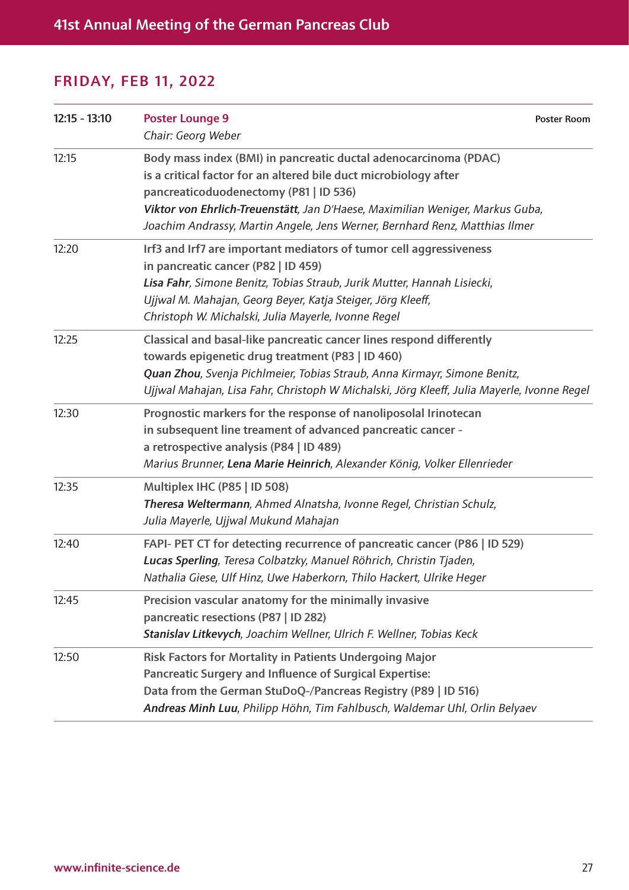| $12:15 - 13:10$ | <b>Poster Lounge 9</b><br>Chair: Georg Weber                                                                                                                                                                                                                                                                                                   | <b>Poster Room</b> |
|-----------------|------------------------------------------------------------------------------------------------------------------------------------------------------------------------------------------------------------------------------------------------------------------------------------------------------------------------------------------------|--------------------|
| 12:15           | Body mass index (BMI) in pancreatic ductal adenocarcinoma (PDAC)<br>is a critical factor for an altered bile duct microbiology after<br>pancreaticoduodenectomy (P81   ID 536)<br>Viktor von Ehrlich-Treuenstätt, Jan D'Haese, Maximilian Weniger, Markus Guba,<br>Joachim Andrassy, Martin Angele, Jens Werner, Bernhard Renz, Matthias Ilmer |                    |
| 12:20           | Irf3 and Irf7 are important mediators of tumor cell aggressiveness<br>in pancreatic cancer (P82   ID 459)<br>Lisa Fahr, Simone Benitz, Tobias Straub, Jurik Mutter, Hannah Lisiecki,<br>Ujjwal M. Mahajan, Georg Beyer, Katja Steiger, Jörg Kleeff,<br>Christoph W. Michalski, Julia Mayerle, Ivonne Regel                                     |                    |
| 12:25           | Classical and basal-like pancreatic cancer lines respond differently<br>towards epigenetic drug treatment (P83   ID 460)<br>Quan Zhou, Svenja Pichlmeier, Tobias Straub, Anna Kirmayr, Simone Benitz,<br>Ujjwal Mahajan, Lisa Fahr, Christoph W Michalski, Jörg Kleeff, Julia Mayerle, Ivonne Regel                                            |                    |
| 12:30           | Prognostic markers for the response of nanoliposolal Irinotecan<br>in subsequent line treament of advanced pancreatic cancer -<br>a retrospective analysis (P84   ID 489)<br>Marius Brunner, Lena Marie Heinrich, Alexander König, Volker Ellenrieder                                                                                          |                    |
| 12:35           | Multiplex IHC (P85   ID 508)<br>Theresa Weltermann, Ahmed Alnatsha, Ivonne Regel, Christian Schulz,<br>Julia Mayerle, Ujjwal Mukund Mahajan                                                                                                                                                                                                    |                    |
| 12:40           | FAPI- PET CT for detecting recurrence of pancreatic cancer (P86   ID 529)<br>Lucas Sperling, Teresa Colbatzky, Manuel Röhrich, Christin Tjaden,<br>Nathalia Giese, Ulf Hinz, Uwe Haberkorn, Thilo Hackert, Ulrike Heger                                                                                                                        |                    |
| 12:45           | Precision vascular anatomy for the minimally invasive<br>pancreatic resections (P87   ID 282)<br>Stanislav Litkevych, Joachim Wellner, Ulrich F. Wellner, Tobias Keck                                                                                                                                                                          |                    |
| 12:50           | <b>Risk Factors for Mortality in Patients Undergoing Major</b><br>Pancreatic Surgery and Influence of Surgical Expertise:<br>Data from the German StuDoQ-/Pancreas Registry (P89   ID 516)<br>Andreas Minh Luu, Philipp Höhn, Tim Fahlbusch, Waldemar Uhl, Orlin Belyaev                                                                       |                    |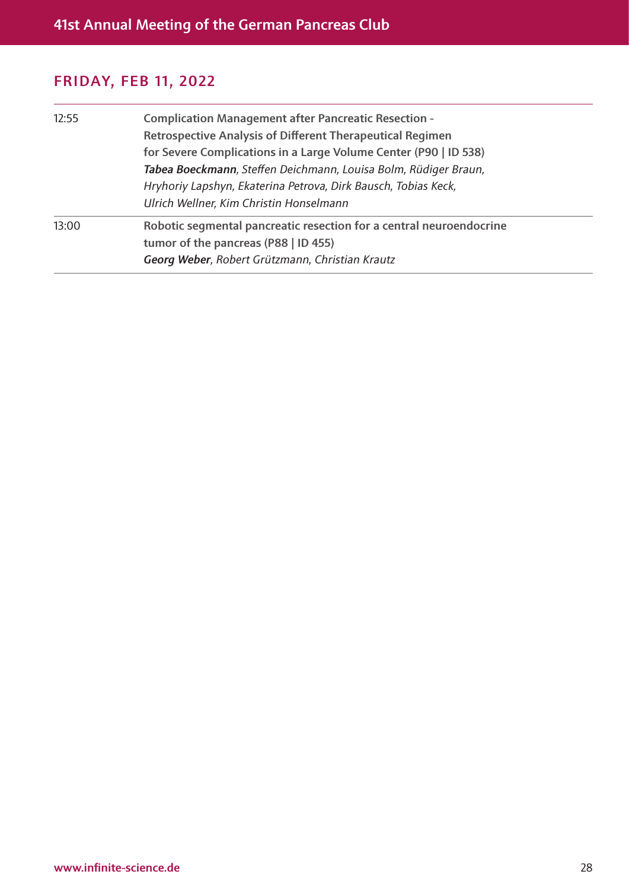| 12:55 | <b>Complication Management after Pancreatic Resection -</b><br><b>Retrospective Analysis of Different Therapeutical Regimen</b><br>for Severe Complications in a Large Volume Center (P90   ID 538)<br>Tabea Boeckmann, Steffen Deichmann, Louisa Bolm, Rüdiger Braun, |
|-------|------------------------------------------------------------------------------------------------------------------------------------------------------------------------------------------------------------------------------------------------------------------------|
|       | Hryhoriy Lapshyn, Ekaterina Petrova, Dirk Bausch, Tobias Keck,<br>Ulrich Wellner, Kim Christin Honselmann                                                                                                                                                              |
| 13:00 | Robotic segmental pancreatic resection for a central neuroendocrine<br>tumor of the pancreas (P88   ID 455)<br>Georg Weber, Robert Grützmann, Christian Krautz                                                                                                         |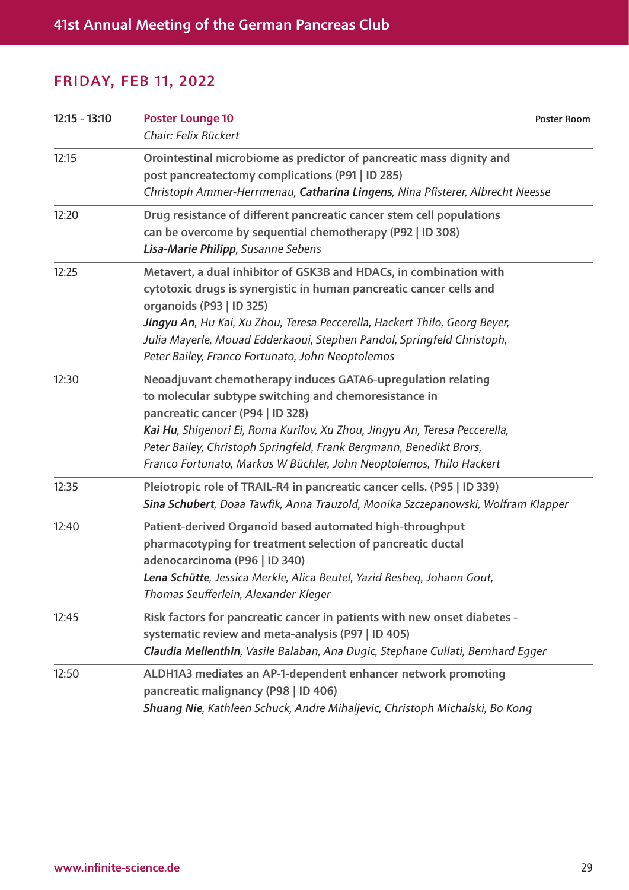| $12:15 - 13:10$ | <b>Poster Lounge 10</b><br>Chair: Felix Rückert                                                                                                                                                                                                                                                                                                                                       | <b>Poster Room</b> |  |
|-----------------|---------------------------------------------------------------------------------------------------------------------------------------------------------------------------------------------------------------------------------------------------------------------------------------------------------------------------------------------------------------------------------------|--------------------|--|
| 12:15           | Orointestinal microbiome as predictor of pancreatic mass dignity and<br>post pancreatectomy complications (P91   ID 285)<br>Christoph Ammer-Herrmenau, Catharina Lingens, Nina Pfisterer, Albrecht Neesse                                                                                                                                                                             |                    |  |
| 12:20           | Drug resistance of different pancreatic cancer stem cell populations<br>can be overcome by sequential chemotherapy (P92   ID 308)<br>Lisa-Marie Philipp, Susanne Sebens                                                                                                                                                                                                               |                    |  |
| 12:25           | Metavert, a dual inhibitor of GSK3B and HDACs, in combination with<br>cytotoxic drugs is synergistic in human pancreatic cancer cells and<br>organoids (P93   ID 325)<br>Jingyu An, Hu Kai, Xu Zhou, Teresa Peccerella, Hackert Thilo, Georg Beyer,<br>Julia Mayerle, Mouad Edderkaoui, Stephen Pandol, Springfeld Christoph,<br>Peter Bailey, Franco Fortunato, John Neoptolemos     |                    |  |
| 12:30           | Neoadjuvant chemotherapy induces GATA6-upregulation relating<br>to molecular subtype switching and chemoresistance in<br>pancreatic cancer (P94   ID 328)<br>Kai Hu, Shigenori Ei, Roma Kurilov, Xu Zhou, Jingyu An, Teresa Peccerella,<br>Peter Bailey, Christoph Springfeld, Frank Bergmann, Benedikt Brors,<br>Franco Fortunato, Markus W Büchler, John Neoptolemos, Thilo Hackert |                    |  |
| 12:35           | Pleiotropic role of TRAIL-R4 in pancreatic cancer cells. (P95   ID 339)<br>Sina Schubert, Doaa Tawfik, Anna Trauzold, Monika Szczepanowski, Wolfram Klapper                                                                                                                                                                                                                           |                    |  |
| 12:40           | Patient-derived Organoid based automated high-throughput<br>pharmacotyping for treatment selection of pancreatic ductal<br>adenocarcinoma (P96   ID 340)<br>Lena Schütte, Jessica Merkle, Alica Beutel, Yazid Resheq, Johann Gout,<br>Thomas Seufferlein, Alexander Kleger                                                                                                            |                    |  |
| 12:45           | Risk factors for pancreatic cancer in patients with new onset diabetes -<br>systematic review and meta-analysis (P97   ID 405)<br>Claudia Mellenthin, Vasile Balaban, Ana Dugic, Stephane Cullati, Bernhard Egger                                                                                                                                                                     |                    |  |
| 12:50           | ALDH1A3 mediates an AP-1-dependent enhancer network promoting<br>pancreatic malignancy (P98   ID 406)<br>Shuang Nie, Kathleen Schuck, Andre Mihaljevic, Christoph Michalski, Bo Kong                                                                                                                                                                                                  |                    |  |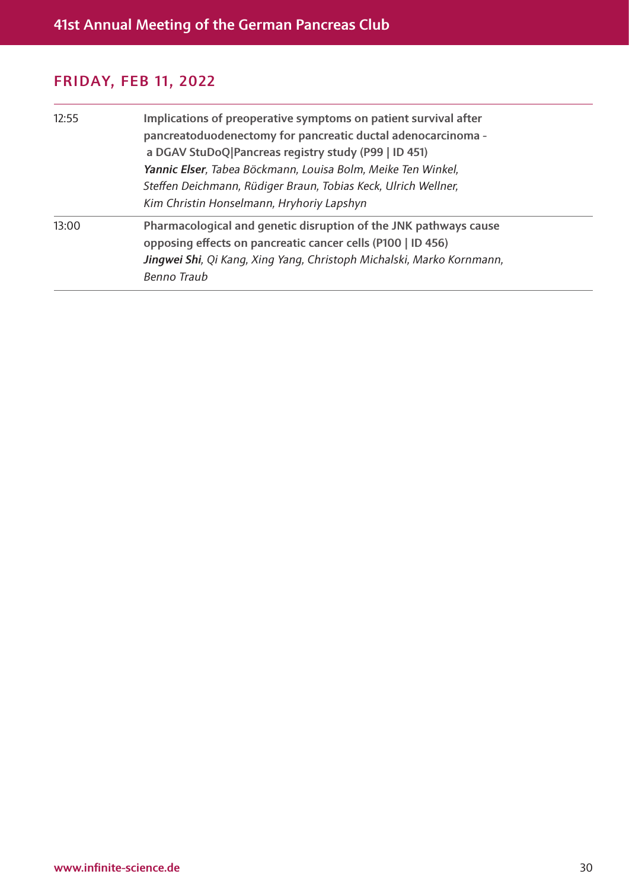| 12:55 | Implications of preoperative symptoms on patient survival after<br>pancreatoduodenectomy for pancreatic ductal adenocarcinoma -<br>a DGAV StuDoQ Pancreas registry study (P99   ID 451)<br>Yannic Elser, Tabea Böckmann, Louisa Bolm, Meike Ten Winkel,<br>Steffen Deichmann, Rüdiger Braun, Tobias Keck, Ulrich Wellner,<br>Kim Christin Honselmann, Hryhoriy Lapshyn |
|-------|------------------------------------------------------------------------------------------------------------------------------------------------------------------------------------------------------------------------------------------------------------------------------------------------------------------------------------------------------------------------|
| 13:00 | Pharmacological and genetic disruption of the JNK pathways cause<br>opposing effects on pancreatic cancer cells (P100   ID 456)<br>Jingwei Shi, Qi Kang, Xing Yang, Christoph Michalski, Marko Kornmann,<br>Benno Traub                                                                                                                                                |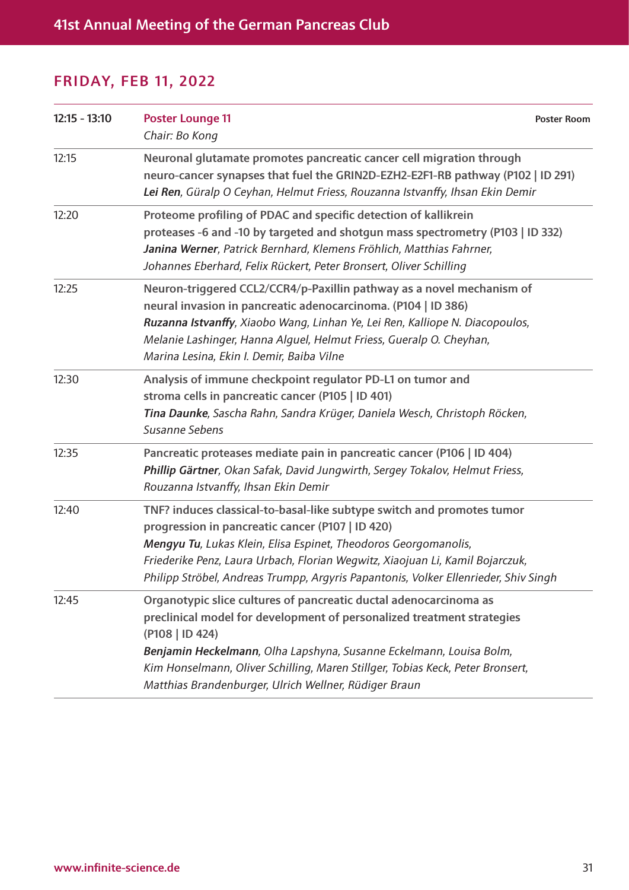| $12:15 - 13:10$ | <b>Poster Lounge 11</b><br>Chair: Bo Kong                                                                                                                                                                                                                                                                                                                                        | <b>Poster Room</b> |  |
|-----------------|----------------------------------------------------------------------------------------------------------------------------------------------------------------------------------------------------------------------------------------------------------------------------------------------------------------------------------------------------------------------------------|--------------------|--|
| 12:15           | Neuronal glutamate promotes pancreatic cancer cell migration through<br>neuro-cancer synapses that fuel the GRIN2D-EZH2-E2F1-RB pathway (P102   ID 291)<br>Lei Ren, Güralp O Ceyhan, Helmut Friess, Rouzanna Istvanffy, Ihsan Ekin Demir                                                                                                                                         |                    |  |
| 12:20           | Proteome profiling of PDAC and specific detection of kallikrein<br>proteases -6 and -10 by targeted and shotgun mass spectrometry (P103   ID 332)<br>Janina Werner, Patrick Bernhard, Klemens Fröhlich, Matthias Fahrner,<br>Johannes Eberhard, Felix Rückert, Peter Bronsert, Oliver Schilling                                                                                  |                    |  |
| 12:25           | Neuron-triggered CCL2/CCR4/p-Paxillin pathway as a novel mechanism of<br>neural invasion in pancreatic adenocarcinoma. (P104   ID 386)<br>Ruzanna Istvanffy, Xiaobo Wang, Linhan Ye, Lei Ren, Kalliope N. Diacopoulos,<br>Melanie Lashinger, Hanna Alguel, Helmut Friess, Gueralp O. Cheyhan,<br>Marina Lesina, Ekin I. Demir, Baiba Vilne                                       |                    |  |
| 12:30           | Analysis of immune checkpoint regulator PD-L1 on tumor and<br>stroma cells in pancreatic cancer (P105   ID 401)<br>Tina Daunke, Sascha Rahn, Sandra Krüger, Daniela Wesch, Christoph Röcken,<br>Susanne Sebens                                                                                                                                                                   |                    |  |
| 12:35           | Pancreatic proteases mediate pain in pancreatic cancer (P106   ID 404)<br>Phillip Gärtner, Okan Safak, David Jungwirth, Sergey Tokalov, Helmut Friess,<br>Rouzanna Istvanffy, Ihsan Ekin Demir                                                                                                                                                                                   |                    |  |
| 12:40           | TNF? induces classical-to-basal-like subtype switch and promotes tumor<br>progression in pancreatic cancer (P107   ID 420)<br>Mengyu Tu, Lukas Klein, Elisa Espinet, Theodoros Georgomanolis,<br>Friederike Penz, Laura Urbach, Florian Wegwitz, Xiaojuan Li, Kamil Bojarczuk,<br>Philipp Ströbel, Andreas Trumpp, Argyris Papantonis, Volker Ellenrieder, Shiv Singh            |                    |  |
| 12:45           | Organotypic slice cultures of pancreatic ductal adenocarcinoma as<br>preclinical model for development of personalized treatment strategies<br>(P108   ID 424)<br>Benjamin Heckelmann, Olha Lapshyna, Susanne Eckelmann, Louisa Bolm,<br>Kim Honselmann, Oliver Schilling, Maren Stillger, Tobias Keck, Peter Bronsert,<br>Matthias Brandenburger, Ulrich Wellner, Rüdiger Braun |                    |  |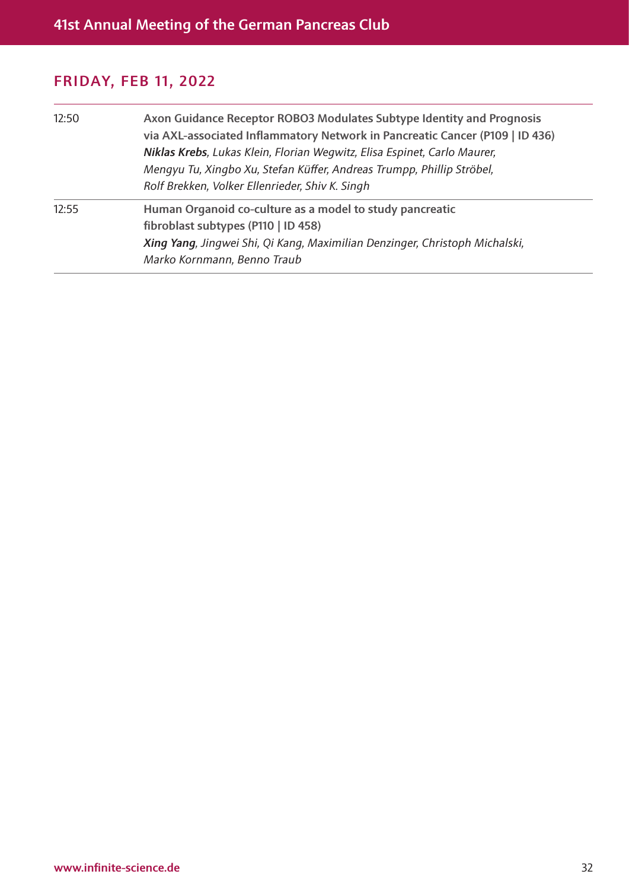| 12:50 | Axon Guidance Receptor ROBO3 Modulates Subtype Identity and Prognosis<br>via AXL-associated Inflammatory Network in Pancreatic Cancer (P109   ID 436)<br>Niklas Krebs, Lukas Klein, Florian Wegwitz, Elisa Espinet, Carlo Maurer,<br>Mengyu Tu, Xingbo Xu, Stefan Küffer, Andreas Trumpp, Phillip Ströbel,<br>Rolf Brekken, Volker Ellenrieder, Shiv K. Singh |
|-------|---------------------------------------------------------------------------------------------------------------------------------------------------------------------------------------------------------------------------------------------------------------------------------------------------------------------------------------------------------------|
| 12:55 | Human Organoid co-culture as a model to study pancreatic<br>fibroblast subtypes (P110   ID 458)<br>Xing Yang, Jingwei Shi, Qi Kang, Maximilian Denzinger, Christoph Michalski,<br>Marko Kornmann, Benno Traub                                                                                                                                                 |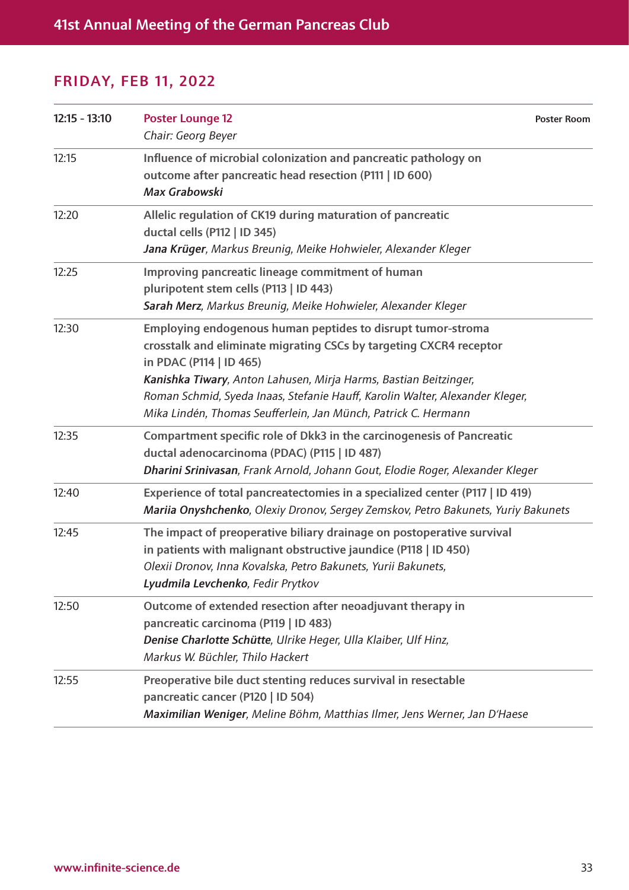| $12:15 - 13:10$ | <b>Poster Lounge 12</b><br>Chair: Georg Beyer                                                                                                                                                                                                                                                                                                                                      | <b>Poster Room</b> |
|-----------------|------------------------------------------------------------------------------------------------------------------------------------------------------------------------------------------------------------------------------------------------------------------------------------------------------------------------------------------------------------------------------------|--------------------|
| 12:15           | Influence of microbial colonization and pancreatic pathology on<br>outcome after pancreatic head resection (P111   ID 600)<br>Max Grabowski                                                                                                                                                                                                                                        |                    |
| 12:20           | Allelic regulation of CK19 during maturation of pancreatic<br>ductal cells (P112   ID 345)<br>Jana Krüger, Markus Breunig, Meike Hohwieler, Alexander Kleger                                                                                                                                                                                                                       |                    |
| 12:25           | Improving pancreatic lineage commitment of human<br>pluripotent stem cells (P113   ID 443)<br>Sarah Merz, Markus Breunig, Meike Hohwieler, Alexander Kleger                                                                                                                                                                                                                        |                    |
| 12:30           | Employing endogenous human peptides to disrupt tumor-stroma<br>crosstalk and eliminate migrating CSCs by targeting CXCR4 receptor<br>in PDAC (P114   ID 465)<br>Kanishka Tiwary, Anton Lahusen, Mirja Harms, Bastian Beitzinger,<br>Roman Schmid, Syeda Inaas, Stefanie Hauff, Karolin Walter, Alexander Kleger,<br>Mika Lindén, Thomas Seufferlein, Jan Münch, Patrick C. Hermann |                    |
| 12:35           | Compartment specific role of Dkk3 in the carcinogenesis of Pancreatic<br>ductal adenocarcinoma (PDAC) (P115   ID 487)<br>Dharini Srinivasan, Frank Arnold, Johann Gout, Elodie Roger, Alexander Kleger                                                                                                                                                                             |                    |
| 12:40           | Experience of total pancreatectomies in a specialized center (P117   ID 419)<br>Mariia Onyshchenko, Olexiy Dronov, Sergey Zemskov, Petro Bakunets, Yuriy Bakunets                                                                                                                                                                                                                  |                    |
| 12:45           | The impact of preoperative biliary drainage on postoperative survival<br>in patients with malignant obstructive jaundice (P118   ID 450)<br>Olexii Dronov, Inna Kovalska, Petro Bakunets, Yurii Bakunets,<br>Lyudmila Levchenko, Fedir Prytkov                                                                                                                                     |                    |
| 12:50           | Outcome of extended resection after neoadjuvant therapy in<br>pancreatic carcinoma (P119   ID 483)<br>Denise Charlotte Schütte, Ulrike Heger, Ulla Klaiber, Ulf Hinz,<br>Markus W. Büchler, Thilo Hackert                                                                                                                                                                          |                    |
| 12:55           | Preoperative bile duct stenting reduces survival in resectable<br>pancreatic cancer (P120   ID 504)<br>Maximilian Weniger, Meline Böhm, Matthias Ilmer, Jens Werner, Jan D'Haese                                                                                                                                                                                                   |                    |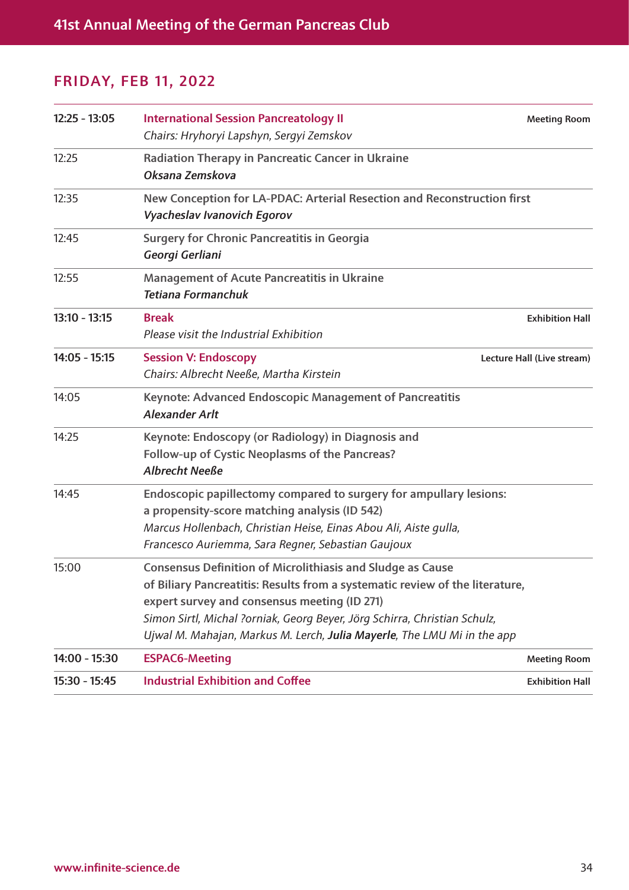| 15:30 - 15:45   | <b>Industrial Exhibition and Coffee</b>                                                                                                                                                                                                                                                                                                                   | <b>Exhibition Hall</b>     |
|-----------------|-----------------------------------------------------------------------------------------------------------------------------------------------------------------------------------------------------------------------------------------------------------------------------------------------------------------------------------------------------------|----------------------------|
| 14:00 - 15:30   | <b>ESPAC6-Meeting</b>                                                                                                                                                                                                                                                                                                                                     | <b>Meeting Room</b>        |
| 15:00           | <b>Consensus Definition of Microlithiasis and Sludge as Cause</b><br>of Biliary Pancreatitis: Results from a systematic review of the literature,<br>expert survey and consensus meeting (ID 271)<br>Simon Sirtl, Michal ?orniak, Georg Beyer, Jörg Schirra, Christian Schulz,<br>Ujwal M. Mahajan, Markus M. Lerch, Julia Mayerle, The LMU Mi in the app |                            |
| 14:45           | Endoscopic papillectomy compared to surgery for ampullary lesions:<br>a propensity-score matching analysis (ID 542)<br>Marcus Hollenbach, Christian Heise, Einas Abou Ali, Aiste gulla,<br>Francesco Auriemma, Sara Regner, Sebastian Gaujoux                                                                                                             |                            |
| 14:25           | Keynote: Endoscopy (or Radiology) in Diagnosis and<br>Follow-up of Cystic Neoplasms of the Pancreas?<br><b>Albrecht Neeße</b>                                                                                                                                                                                                                             |                            |
| 14:05           | Keynote: Advanced Endoscopic Management of Pancreatitis<br><b>Alexander Arlt</b>                                                                                                                                                                                                                                                                          |                            |
| $14:05 - 15:15$ | <b>Session V: Endoscopy</b><br>Chairs: Albrecht Neeße, Martha Kirstein                                                                                                                                                                                                                                                                                    | Lecture Hall (Live stream) |
| $13:10 - 13:15$ | <b>Break</b><br>Please visit the Industrial Exhibition                                                                                                                                                                                                                                                                                                    | <b>Exhibition Hall</b>     |
| 12:55           | <b>Management of Acute Pancreatitis in Ukraine</b><br><b>Tetiana Formanchuk</b>                                                                                                                                                                                                                                                                           |                            |
| 12:45           | <b>Surgery for Chronic Pancreatitis in Georgia</b><br>Georgi Gerliani                                                                                                                                                                                                                                                                                     |                            |
| 12:35           | New Conception for LA-PDAC: Arterial Resection and Reconstruction first<br>Vyacheslav Ivanovich Egorov                                                                                                                                                                                                                                                    |                            |
| 12:25           | Radiation Therapy in Pancreatic Cancer in Ukraine<br>Oksana Zemskova                                                                                                                                                                                                                                                                                      |                            |
| $12:25 - 13:05$ | <b>International Session Pancreatology II</b><br>Chairs: Hryhoryi Lapshyn, Sergyi Zemskov                                                                                                                                                                                                                                                                 | <b>Meeting Room</b>        |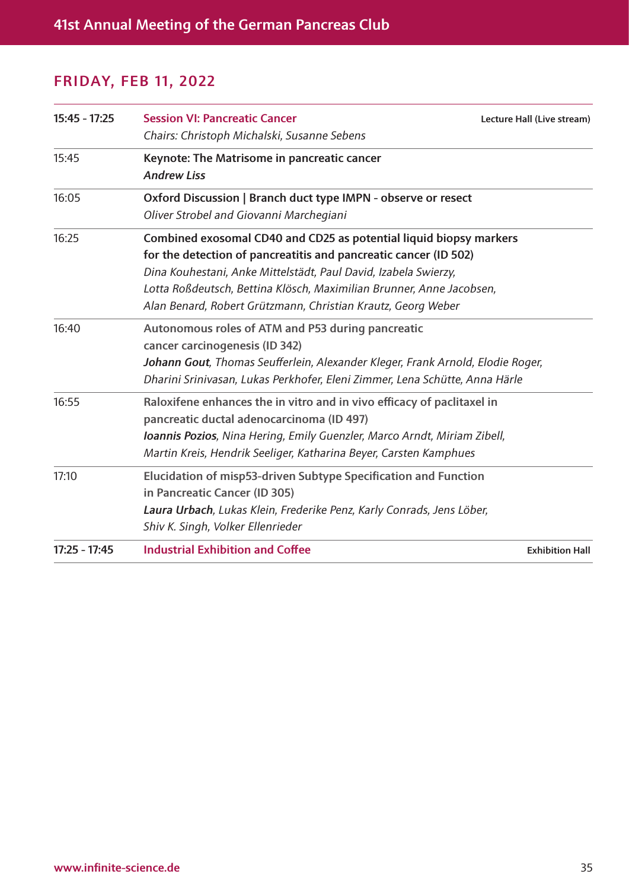| $15:45 - 17:25$ | <b>Session VI: Pancreatic Cancer</b><br>Chairs: Christoph Michalski, Susanne Sebens                                                                                                                                                                                                                                                               | Lecture Hall (Live stream) |
|-----------------|---------------------------------------------------------------------------------------------------------------------------------------------------------------------------------------------------------------------------------------------------------------------------------------------------------------------------------------------------|----------------------------|
| 15:45           | Keynote: The Matrisome in pancreatic cancer<br><b>Andrew Liss</b>                                                                                                                                                                                                                                                                                 |                            |
| 16:05           | Oxford Discussion   Branch duct type IMPN - observe or resect<br>Oliver Strobel and Giovanni Marchegiani                                                                                                                                                                                                                                          |                            |
| 16:25           | Combined exosomal CD40 and CD25 as potential liquid biopsy markers<br>for the detection of pancreatitis and pancreatic cancer (ID 502)<br>Dina Kouhestani, Anke Mittelstädt, Paul David, Izabela Swierzy,<br>Lotta Roßdeutsch, Bettina Klösch, Maximilian Brunner, Anne Jacobsen,<br>Alan Benard, Robert Grützmann, Christian Krautz, Georg Weber |                            |
| 16:40           | Autonomous roles of ATM and P53 during pancreatic<br>cancer carcinogenesis (ID 342)<br>Johann Gout, Thomas Seufferlein, Alexander Kleger, Frank Arnold, Elodie Roger,<br>Dharini Srinivasan, Lukas Perkhofer, Eleni Zimmer, Lena Schütte, Anna Härle                                                                                              |                            |
| 16:55           | Raloxifene enhances the in vitro and in vivo efficacy of paclitaxel in<br>pancreatic ductal adenocarcinoma (ID 497)<br>Ioannis Pozios, Nina Hering, Emily Guenzler, Marco Arndt, Miriam Zibell,<br>Martin Kreis, Hendrik Seeliger, Katharina Beyer, Carsten Kamphues                                                                              |                            |
| 17:10           | Elucidation of misp53-driven Subtype Specification and Function<br>in Pancreatic Cancer (ID 305)<br>Laura Urbach, Lukas Klein, Frederike Penz, Karly Conrads, Jens Löber,<br>Shiv K. Singh, Volker Ellenrieder                                                                                                                                    |                            |
| $17:25 - 17:45$ | <b>Industrial Exhibition and Coffee</b>                                                                                                                                                                                                                                                                                                           | <b>Exhibition Hall</b>     |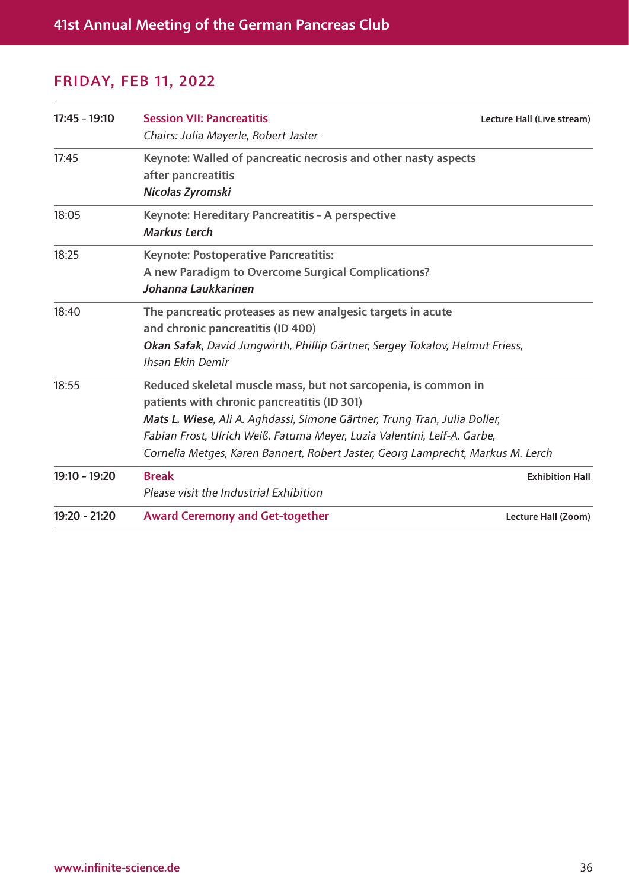| $17:45 - 19:10$ | <b>Session VII: Pancreatitis</b><br>Chairs: Julia Mayerle, Robert Jaster        | Lecture Hall (Live stream) |
|-----------------|---------------------------------------------------------------------------------|----------------------------|
| 17:45           | Keynote: Walled of pancreatic necrosis and other nasty aspects                  |                            |
|                 | after pancreatitis                                                              |                            |
|                 | Nicolas Zyromski                                                                |                            |
| 18:05           | Keynote: Hereditary Pancreatitis - A perspective                                |                            |
|                 | <b>Markus Lerch</b>                                                             |                            |
| 18:25           | <b>Keynote: Postoperative Pancreatitis:</b>                                     |                            |
|                 | A new Paradigm to Overcome Surgical Complications?                              |                            |
|                 | Johanna Laukkarinen                                                             |                            |
| 18:40           | The pancreatic proteases as new analgesic targets in acute                      |                            |
|                 | and chronic pancreatitis (ID 400)                                               |                            |
|                 | Okan Safak, David Jungwirth, Phillip Gärtner, Sergey Tokalov, Helmut Friess,    |                            |
|                 | Ihsan Ekin Demir                                                                |                            |
| 18:55           | Reduced skeletal muscle mass, but not sarcopenia, is common in                  |                            |
|                 | patients with chronic pancreatitis (ID 301)                                     |                            |
|                 | Mats L. Wiese, Ali A. Aghdassi, Simone Gärtner, Trung Tran, Julia Doller,       |                            |
|                 | Fabian Frost, Ulrich Weiß, Fatuma Meyer, Luzia Valentini, Leif-A. Garbe,        |                            |
|                 | Cornelia Metges, Karen Bannert, Robert Jaster, Georg Lamprecht, Markus M. Lerch |                            |
| 19:10 - 19:20   | <b>Break</b>                                                                    | <b>Exhibition Hall</b>     |
|                 | Please visit the Industrial Exhibition                                          |                            |
| 19:20 - 21:20   | <b>Award Ceremony and Get-together</b>                                          | Lecture Hall (Zoom)        |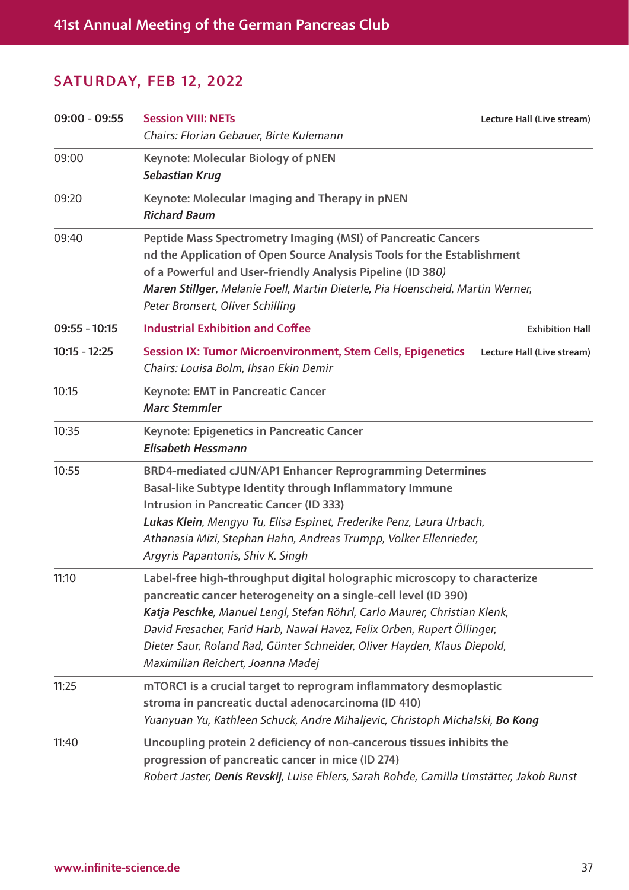#### SATURDAY, FEB 12, 2022

| $09:00 - 09:55$ | <b>Session VIII: NETs</b><br>Chairs: Florian Gebauer, Birte Kulemann                                                                                                                                                                                                                                                                                                                                                  | Lecture Hall (Live stream) |
|-----------------|-----------------------------------------------------------------------------------------------------------------------------------------------------------------------------------------------------------------------------------------------------------------------------------------------------------------------------------------------------------------------------------------------------------------------|----------------------------|
| 09:00           | <b>Keynote: Molecular Biology of pNEN</b><br>Sebastian Krug                                                                                                                                                                                                                                                                                                                                                           |                            |
| 09:20           | Keynote: Molecular Imaging and Therapy in pNEN<br><b>Richard Baum</b>                                                                                                                                                                                                                                                                                                                                                 |                            |
| 09:40           | Peptide Mass Spectrometry Imaging (MSI) of Pancreatic Cancers<br>nd the Application of Open Source Analysis Tools for the Establishment<br>of a Powerful and User-friendly Analysis Pipeline (ID 380)<br>Maren Stillger, Melanie Foell, Martin Dieterle, Pia Hoenscheid, Martin Werner,<br>Peter Bronsert, Oliver Schilling                                                                                           |                            |
| $09:55 - 10:15$ | <b>Industrial Exhibition and Coffee</b>                                                                                                                                                                                                                                                                                                                                                                               | <b>Exhibition Hall</b>     |
| $10:15 - 12:25$ | <b>Session IX: Tumor Microenvironment, Stem Cells, Epigenetics</b><br>Chairs: Louisa Bolm, Ihsan Ekin Demir                                                                                                                                                                                                                                                                                                           | Lecture Hall (Live stream) |
| 10:15           | <b>Keynote: EMT in Pancreatic Cancer</b><br><b>Marc Stemmler</b>                                                                                                                                                                                                                                                                                                                                                      |                            |
| 10:35           | <b>Keynote: Epigenetics in Pancreatic Cancer</b><br><b>Elisabeth Hessmann</b>                                                                                                                                                                                                                                                                                                                                         |                            |
| 10:55           | BRD4-mediated cJUN/AP1 Enhancer Reprogramming Determines<br>Basal-like Subtype Identity through Inflammatory Immune<br><b>Intrusion in Pancreatic Cancer (ID 333)</b><br>Lukas Klein, Mengyu Tu, Elisa Espinet, Frederike Penz, Laura Urbach,<br>Athanasia Mizi, Stephan Hahn, Andreas Trumpp, Volker Ellenrieder,<br>Argyris Papantonis, Shiv K. Singh                                                               |                            |
| 11:10           | Label-free high-throughput digital holographic microscopy to characterize<br>pancreatic cancer heterogeneity on a single-cell level (ID 390)<br>Katja Peschke, Manuel Lengl, Stefan Röhrl, Carlo Maurer, Christian Klenk,<br>David Fresacher, Farid Harb, Nawal Havez, Felix Orben, Rupert Öllinger,<br>Dieter Saur, Roland Rad, Günter Schneider, Oliver Hayden, Klaus Diepold,<br>Maximilian Reichert, Joanna Madej |                            |
| 11:25           | mTORC1 is a crucial target to reprogram inflammatory desmoplastic<br>stroma in pancreatic ductal adenocarcinoma (ID 410)<br>Yuanyuan Yu, Kathleen Schuck, Andre Mihaljevic, Christoph Michalski, Bo Kong                                                                                                                                                                                                              |                            |
| 11:40           | Uncoupling protein 2 deficiency of non-cancerous tissues inhibits the<br>progression of pancreatic cancer in mice (ID 274)<br>Robert Jaster, Denis Revskij, Luise Ehlers, Sarah Rohde, Camilla Umstätter, Jakob Runst                                                                                                                                                                                                 |                            |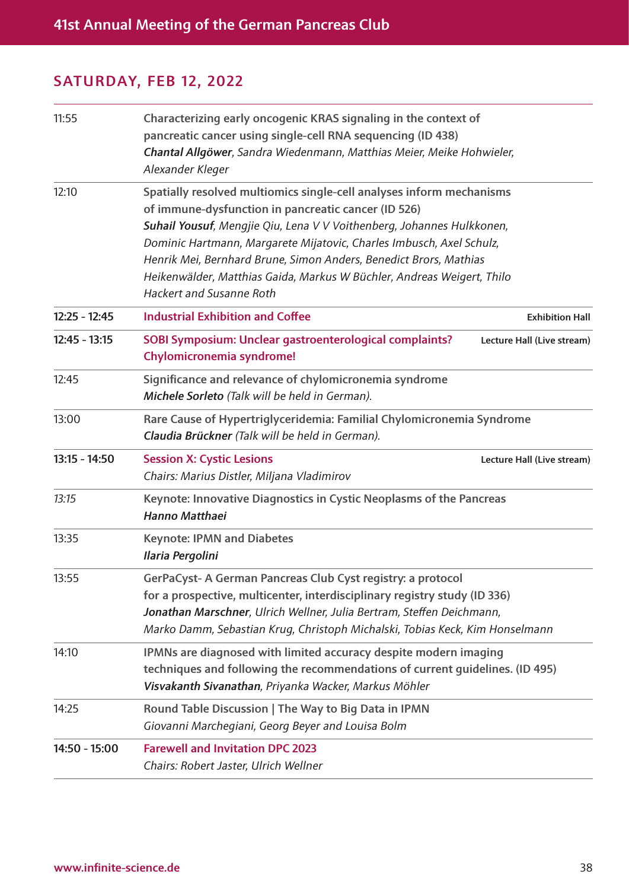#### SATURDAY, FEB 12, 2022

| 11:55           | Characterizing early oncogenic KRAS signaling in the context of<br>pancreatic cancer using single-cell RNA sequencing (ID 438)<br>Chantal Allgöwer, Sandra Wiedenmann, Matthias Meier, Meike Hohwieler,<br>Alexander Kleger                                                                                                                                                                                                                                    |                            |
|-----------------|----------------------------------------------------------------------------------------------------------------------------------------------------------------------------------------------------------------------------------------------------------------------------------------------------------------------------------------------------------------------------------------------------------------------------------------------------------------|----------------------------|
| 12:10           | Spatially resolved multiomics single-cell analyses inform mechanisms<br>of immune-dysfunction in pancreatic cancer (ID 526)<br>Suhail Yousuf, Mengjie Qiu, Lena V V Voithenberg, Johannes Hulkkonen,<br>Dominic Hartmann, Margarete Mijatovic, Charles Imbusch, Axel Schulz,<br>Henrik Mei, Bernhard Brune, Simon Anders, Benedict Brors, Mathias<br>Heikenwälder, Matthias Gaida, Markus W Büchler, Andreas Weigert, Thilo<br><b>Hackert and Susanne Roth</b> |                            |
| $12:25 - 12:45$ | <b>Industrial Exhibition and Coffee</b>                                                                                                                                                                                                                                                                                                                                                                                                                        | <b>Exhibition Hall</b>     |
| $12:45 - 13:15$ | SOBI Symposium: Unclear gastroenterological complaints?<br>Chylomicronemia syndrome!                                                                                                                                                                                                                                                                                                                                                                           | Lecture Hall (Live stream) |
| 12:45           | Significance and relevance of chylomicronemia syndrome<br>Michele Sorleto (Talk will be held in German).                                                                                                                                                                                                                                                                                                                                                       |                            |
| 13:00           | Rare Cause of Hypertriglyceridemia: Familial Chylomicronemia Syndrome<br>Claudia Brückner (Talk will be held in German).                                                                                                                                                                                                                                                                                                                                       |                            |
| $13:15 - 14:50$ | <b>Session X: Cystic Lesions</b><br>Chairs: Marius Distler, Miljana Vladimirov                                                                                                                                                                                                                                                                                                                                                                                 | Lecture Hall (Live stream) |
| 13:15           | Keynote: Innovative Diagnostics in Cystic Neoplasms of the Pancreas<br>Hanno Matthaei                                                                                                                                                                                                                                                                                                                                                                          |                            |
| 13:35           | <b>Keynote: IPMN and Diabetes</b><br>Ilaria Pergolini                                                                                                                                                                                                                                                                                                                                                                                                          |                            |
| 13:55           | GerPaCyst- A German Pancreas Club Cyst registry: a protocol<br>for a prospective, multicenter, interdisciplinary registry study (ID 336)<br>Jonathan Marschner, Ulrich Wellner, Julia Bertram, Steffen Deichmann,<br>Marko Damm, Sebastian Krug, Christoph Michalski, Tobias Keck, Kim Honselmann                                                                                                                                                              |                            |
| 14:10           | IPMNs are diagnosed with limited accuracy despite modern imaging<br>techniques and following the recommendations of current quidelines. (ID 495)<br>Visvakanth Sivanathan, Priyanka Wacker, Markus Möhler                                                                                                                                                                                                                                                      |                            |
| 14:25           | Round Table Discussion   The Way to Big Data in IPMN<br>Giovanni Marchegiani, Georg Beyer and Louisa Bolm                                                                                                                                                                                                                                                                                                                                                      |                            |
| 14:50 - 15:00   | <b>Farewell and Invitation DPC 2023</b><br>Chairs: Robert Jaster, Ulrich Wellner                                                                                                                                                                                                                                                                                                                                                                               |                            |